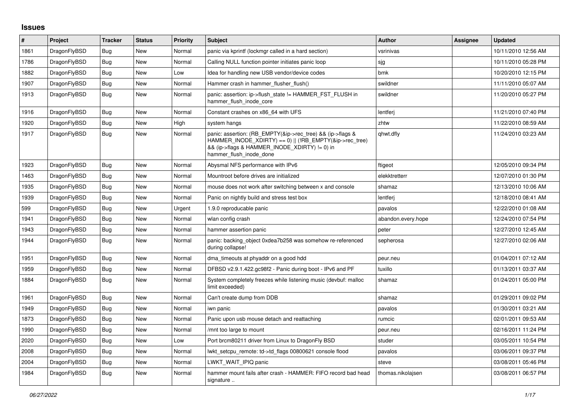## **Issues**

| #    | Project      | <b>Tracker</b> | <b>Status</b> | Priority | <b>Subject</b>                                                                                                                                                                                    | <b>Author</b>      | Assignee | <b>Updated</b>      |
|------|--------------|----------------|---------------|----------|---------------------------------------------------------------------------------------------------------------------------------------------------------------------------------------------------|--------------------|----------|---------------------|
| 1861 | DragonFlyBSD | Bug            | New           | Normal   | panic via kprintf (lockmgr called in a hard section)                                                                                                                                              | vsrinivas          |          | 10/11/2010 12:56 AM |
| 1786 | DragonFlyBSD | Bug            | <b>New</b>    | Normal   | Calling NULL function pointer initiates panic loop                                                                                                                                                | sjg                |          | 10/11/2010 05:28 PM |
| 1882 | DragonFlyBSD | Bug            | New           | Low      | Idea for handling new USB vendor/device codes                                                                                                                                                     | bmk                |          | 10/20/2010 12:15 PM |
| 1907 | DragonFlyBSD | <b>Bug</b>     | New           | Normal   | Hammer crash in hammer flusher flush()                                                                                                                                                            | swildner           |          | 11/11/2010 05:07 AM |
| 1913 | DragonFlyBSD | Bug            | New           | Normal   | panic: assertion: ip->flush state != HAMMER FST FLUSH in<br>hammer flush inode core                                                                                                               | swildner           |          | 11/20/2010 05:27 PM |
| 1916 | DragonFlyBSD | Bug            | New           | Normal   | Constant crashes on x86 64 with UFS                                                                                                                                                               | lentferj           |          | 11/21/2010 07:40 PM |
| 1920 | DragonFlyBSD | <b>Bug</b>     | New           | High     | system hangs                                                                                                                                                                                      | zhtw               |          | 11/22/2010 08:59 AM |
| 1917 | DragonFlyBSD | <b>Bug</b>     | New           | Normal   | panic: assertion: (RB_EMPTY(&ip->rec_tree) && (ip->flags &<br>HAMMER_INODE_XDIRTY) == 0)    (!RB_EMPTY(&ip->rec_tree)<br>&& (ip->flags & HAMMER_INODE_XDIRTY) != 0) in<br>hammer_flush_inode_done | qhwt.dfly          |          | 11/24/2010 03:23 AM |
| 1923 | DragonFlyBSD | Bug            | <b>New</b>    | Normal   | Abysmal NFS performance with IPv6                                                                                                                                                                 | ftigeot            |          | 12/05/2010 09:34 PM |
| 1463 | DragonFlyBSD | Bug            | New           | Normal   | Mountroot before drives are initialized                                                                                                                                                           | elekktretterr      |          | 12/07/2010 01:30 PM |
| 1935 | DragonFlyBSD | <b>Bug</b>     | New           | Normal   | mouse does not work after switching between x and console                                                                                                                                         | shamaz             |          | 12/13/2010 10:06 AM |
| 1939 | DragonFlyBSD | <b>Bug</b>     | New           | Normal   | Panic on nightly build and stress test box                                                                                                                                                        | lentferj           |          | 12/18/2010 08:41 AM |
| 599  | DragonFlyBSD | Bug            | New           | Urgent   | 1.9.0 reproducable panic                                                                                                                                                                          | pavalos            |          | 12/22/2010 01:08 AM |
| 1941 | DragonFlyBSD | <b>Bug</b>     | New           | Normal   | wlan config crash                                                                                                                                                                                 | abandon.every.hope |          | 12/24/2010 07:54 PM |
| 1943 | DragonFlyBSD | Bug            | New           | Normal   | hammer assertion panic                                                                                                                                                                            | peter              |          | 12/27/2010 12:45 AM |
| 1944 | DragonFlyBSD | <b>Bug</b>     | New           | Normal   | panic: backing_object 0xdea7b258 was somehow re-referenced<br>during collapse!                                                                                                                    | sepherosa          |          | 12/27/2010 02:06 AM |
| 1951 | DragonFlyBSD | <b>Bug</b>     | New           | Normal   | dma timeouts at phyaddr on a good hdd                                                                                                                                                             | peur.neu           |          | 01/04/2011 07:12 AM |
| 1959 | DragonFlyBSD | <b>Bug</b>     | New           | Normal   | DFBSD v2.9.1.422.gc98f2 - Panic during boot - IPv6 and PF                                                                                                                                         | tuxillo            |          | 01/13/2011 03:37 AM |
| 1884 | DragonFlyBSD | Bug            | New           | Normal   | System completely freezes while listening music (devbuf: malloc<br>limit exceeded)                                                                                                                | shamaz             |          | 01/24/2011 05:00 PM |
| 1961 | DragonFlyBSD | Bug            | New           | Normal   | Can't create dump from DDB                                                                                                                                                                        | shamaz             |          | 01/29/2011 09:02 PM |
| 1949 | DragonFlyBSD | Bug            | New           | Normal   | iwn panic                                                                                                                                                                                         | pavalos            |          | 01/30/2011 03:21 AM |
| 1873 | DragonFlyBSD | Bug            | New           | Normal   | Panic upon usb mouse detach and reattaching                                                                                                                                                       | rumcic             |          | 02/01/2011 09:53 AM |
| 1990 | DragonFlyBSD | Bug            | New           | Normal   | /mnt too large to mount                                                                                                                                                                           | peur.neu           |          | 02/16/2011 11:24 PM |
| 2020 | DragonFlyBSD | <b>Bug</b>     | <b>New</b>    | Low      | Port brcm80211 driver from Linux to DragonFly BSD                                                                                                                                                 | studer             |          | 03/05/2011 10:54 PM |
| 2008 | DragonFlyBSD | <b>Bug</b>     | New           | Normal   | lwkt_setcpu_remote: td->td_flags 00800621 console flood                                                                                                                                           | pavalos            |          | 03/06/2011 09:37 PM |
| 2004 | DragonFlyBSD | Bug            | New           | Normal   | LWKT WAIT IPIQ panic                                                                                                                                                                              | steve              |          | 03/08/2011 05:46 PM |
| 1984 | DragonFlyBSD | <b>Bug</b>     | New           | Normal   | hammer mount fails after crash - HAMMER: FIFO record bad head<br>signature                                                                                                                        | thomas.nikolajsen  |          | 03/08/2011 06:57 PM |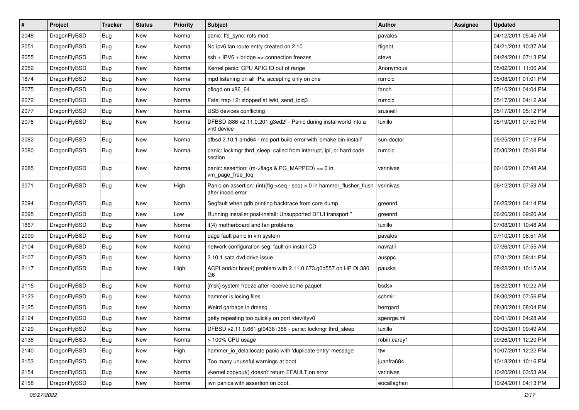| $\pmb{\#}$ | Project      | <b>Tracker</b> | <b>Status</b> | <b>Priority</b> | Subject                                                                                    | <b>Author</b> | Assignee | <b>Updated</b>      |
|------------|--------------|----------------|---------------|-----------------|--------------------------------------------------------------------------------------------|---------------|----------|---------------------|
| 2048       | DragonFlyBSD | Bug            | New           | Normal          | panic: ffs sync: rofs mod                                                                  | pavalos       |          | 04/12/2011 05:45 AM |
| 2051       | DragonFlyBSD | Bug            | <b>New</b>    | Normal          | No ipv6 lan route entry created on 2.10                                                    | ftigeot       |          | 04/21/2011 10:37 AM |
| 2055       | DragonFlyBSD | Bug            | <b>New</b>    | Normal          | $ssh + IPV6 + bridge \Rightarrow connection freezes$                                       | steve         |          | 04/24/2011 07:13 PM |
| 2052       | DragonFlyBSD | Bug            | New           | Normal          | Kernel panic: CPU APIC ID out of range                                                     | Anonymous     |          | 05/02/2011 11:06 AM |
| 1874       | DragonFlyBSD | Bug            | <b>New</b>    | Normal          | mpd listening on all IPs, accepting only on one                                            | rumcic        |          | 05/08/2011 01:01 PM |
| 2075       | DragonFlyBSD | Bug            | New           | Normal          | pflogd on x86 64                                                                           | fanch         |          | 05/16/2011 04:04 PM |
| 2072       | DragonFlyBSD | Bug            | New           | Normal          | Fatal trap 12: stopped at lwkt_send_ipiq3                                                  | rumcic        |          | 05/17/2011 04:12 AM |
| 2077       | DragonFlyBSD | Bug            | <b>New</b>    | Normal          | USB devices conflicting                                                                    | srussell      |          | 05/17/2011 05:12 PM |
| 2078       | DragonFlyBSD | Bug            | <b>New</b>    | Normal          | DFBSD i386 v2.11.0.201.g3ed2f - Panic during installworld into a<br>vn0 device             | tuxillo       |          | 05/19/2011 07:50 PM |
| 2082       | DragonFlyBSD | <b>Bug</b>     | New           | Normal          | dfbsd 2.10.1 amd64 - mc port build error with 'bmake bin-install'                          | sun-doctor    |          | 05/25/2011 07:18 PM |
| 2080       | DragonFlyBSD | Bug            | New           | Normal          | panic: lockmgr thrd_sleep: called from interrupt, ipi, or hard code<br>section             | rumcic        |          | 05/30/2011 05:06 PM |
| 2085       | DragonFlyBSD | Bug            | <b>New</b>    | Normal          | panic: assertion: (m->flags & PG_MAPPED) == 0 in<br>vm_page_free_toq                       | vsrinivas     |          | 06/10/2011 07:48 AM |
| 2071       | DragonFlyBSD | Bug            | New           | High            | Panic on assertion: (int)(flg->seq - seq) > 0 in hammer_flusher_flush<br>after inode error | vsrinivas     |          | 06/12/2011 07:59 AM |
| 2094       | DragonFlyBSD | Bug            | <b>New</b>    | Normal          | Segfault when gdb printing backtrace from core dump                                        | greenrd       |          | 06/25/2011 04:14 PM |
| 2095       | DragonFlyBSD | Bug            | New           | Low             | Running installer post-install: Unsupported DFUI transport "                               | greenrd       |          | 06/26/2011 09:20 AM |
| 1867       | DragonFlyBSD | Bug            | <b>New</b>    | Normal          | it(4) motherboard and fan problems                                                         | tuxillo       |          | 07/08/2011 10:48 AM |
| 2099       | DragonFlyBSD | Bug            | New           | Normal          | page fault panic in vm system                                                              | pavalos       |          | 07/10/2011 08:51 AM |
| 2104       | DragonFlyBSD | Bug            | <b>New</b>    | Normal          | network configuration seg. fault on install CD                                             | navratil      |          | 07/26/2011 07:55 AM |
| 2107       | DragonFlyBSD | Bug            | <b>New</b>    | Normal          | 2.10.1 sata dvd drive issue                                                                | ausppc        |          | 07/31/2011 08:41 PM |
| 2117       | DragonFlyBSD | Bug            | New           | High            | ACPI and/or bce(4) problem with 2.11.0.673.g0d557 on HP DL380<br>G6                        | pauska        |          | 08/22/2011 10:15 AM |
| 2115       | DragonFlyBSD | Bug            | <b>New</b>    | Normal          | [msk] system freeze after receive some paquet                                              | bsdsx         |          | 08/22/2011 10:22 AM |
| 2123       | DragonFlyBSD | Bug            | <b>New</b>    | Normal          | hammer is losing files                                                                     | schmir        |          | 08/30/2011 07:56 PM |
| 2125       | DragonFlyBSD | Bug            | <b>New</b>    | Normal          | Weird garbage in dmesg                                                                     | herrgard      |          | 08/30/2011 08:04 PM |
| 2124       | DragonFlyBSD | Bug            | New           | Normal          | getty repeating too quickly on port /dev/ttyv0                                             | sgeorge.ml    |          | 09/01/2011 04:28 AM |
| 2129       | DragonFlyBSD | Bug            | New           | Normal          | DFBSD v2.11.0.661.gf9438 i386 - panic: lockmgr thrd_sleep                                  | tuxillo       |          | 09/05/2011 09:49 AM |
| 2138       | DragonFlyBSD | Bug            | New           | Normal          | > 100% CPU usage                                                                           | robin.carey1  |          | 09/26/2011 12:20 PM |
| 2140       | DragonFlyBSD | <b>Bug</b>     | New           | High            | hammer_io_delallocate panic with 'duplicate entry' message                                 | ttw           |          | 10/07/2011 12:22 PM |
| 2153       | DragonFlyBSD | <b>Bug</b>     | New           | Normal          | Too many unuseful warnings at boot                                                         | juanfra684    |          | 10/18/2011 10:16 PM |
| 2154       | DragonFlyBSD | Bug            | New           | Normal          | vkernel copyout() doesn't return EFAULT on error                                           | vsrinivas     |          | 10/20/2011 03:53 AM |
| 2158       | DragonFlyBSD | Bug            | New           | Normal          | iwn panics with assertion on boot.                                                         | eocallaghan   |          | 10/24/2011 04:13 PM |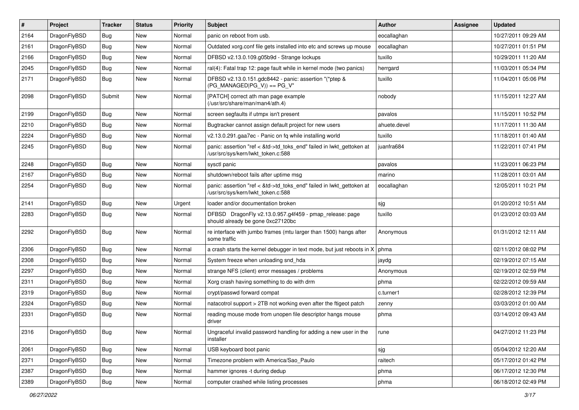| $\vert$ # | Project      | <b>Tracker</b> | <b>Status</b> | <b>Priority</b> | <b>Subject</b>                                                                                             | <b>Author</b> | <b>Assignee</b> | <b>Updated</b>      |
|-----------|--------------|----------------|---------------|-----------------|------------------------------------------------------------------------------------------------------------|---------------|-----------------|---------------------|
| 2164      | DragonFlyBSD | <b>Bug</b>     | <b>New</b>    | Normal          | panic on reboot from usb.                                                                                  | eocallaghan   |                 | 10/27/2011 09:29 AM |
| 2161      | DragonFlyBSD | Bug            | <b>New</b>    | Normal          | Outdated xorg.conf file gets installed into etc and screws up mouse                                        | eocallaghan   |                 | 10/27/2011 01:51 PM |
| 2166      | DragonFlyBSD | <b>Bug</b>     | <b>New</b>    | Normal          | DFBSD v2.13.0.109.g05b9d - Strange lockups                                                                 | tuxillo       |                 | 10/29/2011 11:20 AM |
| 2045      | DragonFlyBSD | Bug            | <b>New</b>    | Normal          | ral(4): Fatal trap 12: page fault while in kernel mode (two panics)                                        | herrgard      |                 | 11/03/2011 05:34 PM |
| 2171      | DragonFlyBSD | Bug            | <b>New</b>    | Normal          | DFBSD v2.13.0.151.gdc8442 - panic: assertion "(*ptep &<br>$(PG MANAGED PG V)) == PG V"$                    | tuxillo       |                 | 11/04/2011 05:06 PM |
| 2098      | DragonFlyBSD | Submit         | <b>New</b>    | Normal          | [PATCH] correct ath man page example<br>(/usr/src/share/man/man4/ath.4)                                    | nobody        |                 | 11/15/2011 12:27 AM |
| 2199      | DragonFlyBSD | <b>Bug</b>     | <b>New</b>    | Normal          | screen segfaults if utmpx isn't present                                                                    | pavalos       |                 | 11/15/2011 10:52 PM |
| 2210      | DragonFlyBSD | Bug            | <b>New</b>    | Normal          | Bugtracker cannot assign default project for new users                                                     | ahuete.devel  |                 | 11/17/2011 11:30 AM |
| 2224      | DragonFlyBSD | <b>Bug</b>     | <b>New</b>    | Normal          | v2.13.0.291.gaa7ec - Panic on fq while installing world                                                    | tuxillo       |                 | 11/18/2011 01:40 AM |
| 2245      | DragonFlyBSD | Bug            | New           | Normal          | panic: assertion "ref < &td->td_toks_end" failed in lwkt_gettoken at<br>/usr/src/sys/kern/lwkt_token.c:588 | juanfra684    |                 | 11/22/2011 07:41 PM |
| 2248      | DragonFlyBSD | <b>Bug</b>     | <b>New</b>    | Normal          | sysctl panic                                                                                               | pavalos       |                 | 11/23/2011 06:23 PM |
| 2167      | DragonFlyBSD | Bug            | <b>New</b>    | Normal          | shutdown/reboot fails after uptime msg                                                                     | marino        |                 | 11/28/2011 03:01 AM |
| 2254      | DragonFlyBSD | Bug            | New           | Normal          | panic: assertion "ref < &td->td_toks_end" failed in lwkt_gettoken at<br>/usr/src/sys/kern/lwkt_token.c:588 | eocallaghan   |                 | 12/05/2011 10:21 PM |
| 2141      | DragonFlyBSD | Bug            | <b>New</b>    | Urgent          | loader and/or documentation broken                                                                         | sjg           |                 | 01/20/2012 10:51 AM |
| 2283      | DragonFlyBSD | <b>Bug</b>     | New           | Normal          | DFBSD DragonFly v2.13.0.957.g4f459 - pmap_release: page<br>should already be gone 0xc27120bc               | tuxillo       |                 | 01/23/2012 03:03 AM |
| 2292      | DragonFlyBSD | <b>Bug</b>     | New           | Normal          | re interface with jumbo frames (mtu larger than 1500) hangs after<br>some traffic                          | Anonymous     |                 | 01/31/2012 12:11 AM |
| 2306      | DragonFlyBSD | Bug            | <b>New</b>    | Normal          | a crash starts the kernel debugger in text mode, but just reboots in $X \mid p$ hma                        |               |                 | 02/11/2012 08:02 PM |
| 2308      | DragonFlyBSD | Bug            | <b>New</b>    | Normal          | System freeze when unloading snd_hda                                                                       | jaydg         |                 | 02/19/2012 07:15 AM |
| 2297      | DragonFlyBSD | <b>Bug</b>     | New           | Normal          | strange NFS (client) error messages / problems                                                             | Anonymous     |                 | 02/19/2012 02:59 PM |
| 2311      | DragonFlyBSD | Bug            | <b>New</b>    | Normal          | Xorg crash having something to do with drm                                                                 | phma          |                 | 02/22/2012 09:59 AM |
| 2319      | DragonFlyBSD | <b>Bug</b>     | New           | Normal          | crypt/passwd forward compat                                                                                | c.turner1     |                 | 02/28/2012 12:39 PM |
| 2324      | DragonFlyBSD | <b>Bug</b>     | <b>New</b>    | Normal          | natacotrol support > 2TB not working even after the ftigeot patch                                          | zenny         |                 | 03/03/2012 01:00 AM |
| 2331      | DragonFlyBSD | Bug            | <b>New</b>    | Normal          | reading mouse mode from unopen file descriptor hangs mouse<br>driver                                       | phma          |                 | 03/14/2012 09:43 AM |
| 2316      | DragonFlyBSD | <b>Bug</b>     | New           | Normal          | Ungraceful invalid password handling for adding a new user in the<br>installer                             | rune          |                 | 04/27/2012 11:23 PM |
| 2061      | DragonFlyBSD | Bug            | New           | Normal          | USB keyboard boot panic                                                                                    | sjg           |                 | 05/04/2012 12:20 AM |
| 2371      | DragonFlyBSD | Bug            | <b>New</b>    | Normal          | Timezone problem with America/Sao_Paulo                                                                    | raitech       |                 | 05/17/2012 01:42 PM |
| 2387      | DragonFlyBSD | <b>Bug</b>     | New           | Normal          | hammer ignores -t during dedup                                                                             | phma          |                 | 06/17/2012 12:30 PM |
| 2389      | DragonFlyBSD | Bug            | New           | Normal          | computer crashed while listing processes                                                                   | phma          |                 | 06/18/2012 02:49 PM |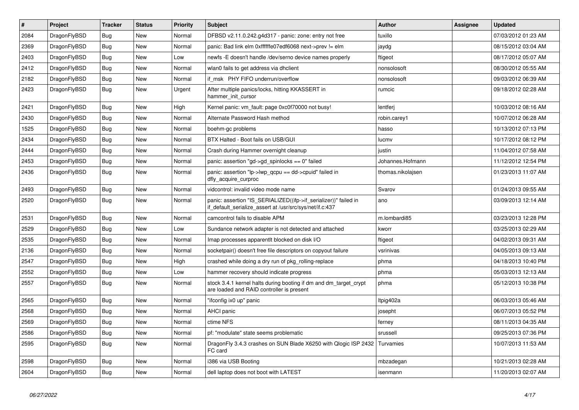| $\vert$ # | <b>Project</b> | <b>Tracker</b> | <b>Status</b> | <b>Priority</b> | <b>Subject</b>                                                                                                               | <b>Author</b>     | Assignee | <b>Updated</b>      |
|-----------|----------------|----------------|---------------|-----------------|------------------------------------------------------------------------------------------------------------------------------|-------------------|----------|---------------------|
| 2084      | DragonFlyBSD   | Bug            | <b>New</b>    | Normal          | DFBSD v2.11.0.242.g4d317 - panic: zone: entry not free                                                                       | tuxillo           |          | 07/03/2012 01:23 AM |
| 2369      | DragonFlyBSD   | <b>Bug</b>     | <b>New</b>    | Normal          | panic: Bad link elm 0xffffffe07edf6068 next->prev != elm                                                                     | jaydg             |          | 08/15/2012 03:04 AM |
| 2403      | DragonFlyBSD   | <b>Bug</b>     | <b>New</b>    | Low             | newfs -E doesn't handle /dev/serno device names properly                                                                     | ftigeot           |          | 08/17/2012 05:07 AM |
| 2412      | DragonFlyBSD   | Bug            | <b>New</b>    | Normal          | wlan0 fails to get address via dhclient                                                                                      | nonsolosoft       |          | 08/30/2012 05:55 AM |
| 2182      | DragonFlyBSD   | Bug            | <b>New</b>    | Normal          | if msk PHY FIFO underrun/overflow                                                                                            | nonsolosoft       |          | 09/03/2012 06:39 AM |
| 2423      | DragonFlyBSD   | <b>Bug</b>     | <b>New</b>    | Urgent          | After multiple panics/locks, hitting KKASSERT in<br>hammer init cursor                                                       | rumcic            |          | 09/18/2012 02:28 AM |
| 2421      | DragonFlyBSD   | Bug            | New           | High            | Kernel panic: vm_fault: page 0xc0f70000 not busy!                                                                            | lentferj          |          | 10/03/2012 08:16 AM |
| 2430      | DragonFlyBSD   | <b>Bug</b>     | <b>New</b>    | Normal          | Alternate Password Hash method                                                                                               | robin.carey1      |          | 10/07/2012 06:28 AM |
| 1525      | DragonFlyBSD   | <b>Bug</b>     | <b>New</b>    | Normal          | boehm-gc problems                                                                                                            | hasso             |          | 10/13/2012 07:13 PM |
| 2434      | DragonFlyBSD   | <b>Bug</b>     | <b>New</b>    | Normal          | BTX Halted - Boot fails on USB/GUI                                                                                           | lucmv             |          | 10/17/2012 08:12 PM |
| 2444      | DragonFlyBSD   | Bug            | <b>New</b>    | Normal          | Crash during Hammer overnight cleanup                                                                                        | justin            |          | 11/04/2012 07:58 AM |
| 2453      | DragonFlyBSD   | <b>Bug</b>     | <b>New</b>    | Normal          | panic: assertion "gd->gd spinlocks == $0$ " failed                                                                           | Johannes.Hofmann  |          | 11/12/2012 12:54 PM |
| 2436      | DragonFlyBSD   | <b>Bug</b>     | <b>New</b>    | Normal          | panic: assertion "lp->lwp_qcpu == dd->cpuid" failed in<br>dfly acquire curproc                                               | thomas.nikolajsen |          | 01/23/2013 11:07 AM |
| 2493      | DragonFlyBSD   | <b>Bug</b>     | <b>New</b>    | Normal          | vidcontrol: invalid video mode name                                                                                          | Svarov            |          | 01/24/2013 09:55 AM |
| 2520      | DragonFlyBSD   | <b>Bug</b>     | <b>New</b>    | Normal          | panic: assertion "IS_SERIALIZED((ifp->if_serializer))" failed in<br>if_default_serialize_assert at /usr/src/sys/net/if.c:437 | ano               |          | 03/09/2013 12:14 AM |
| 2531      | DragonFlyBSD   | Bug            | <b>New</b>    | Normal          | camcontrol fails to disable APM                                                                                              | m.lombardi85      |          | 03/23/2013 12:28 PM |
| 2529      | DragonFlyBSD   | <b>Bug</b>     | <b>New</b>    | Low             | Sundance network adapter is not detected and attached                                                                        | kworr             |          | 03/25/2013 02:29 AM |
| 2535      | DragonFlyBSD   | <b>Bug</b>     | <b>New</b>    | Normal          | Imap processes apparentit blocked on disk I/O                                                                                | ftigeot           |          | 04/02/2013 09:31 AM |
| 2136      | DragonFlyBSD   | <b>Bug</b>     | <b>New</b>    | Normal          | socketpair() doesn't free file descriptors on copyout failure                                                                | vsrinivas         |          | 04/05/2013 09:13 AM |
| 2547      | DragonFlyBSD   | <b>Bug</b>     | <b>New</b>    | High            | crashed while doing a dry run of pkg rolling-replace                                                                         | phma              |          | 04/18/2013 10:40 PM |
| 2552      | DragonFlyBSD   | <b>Bug</b>     | <b>New</b>    | Low             | hammer recovery should indicate progress                                                                                     | phma              |          | 05/03/2013 12:13 AM |
| 2557      | DragonFlyBSD   | <b>Bug</b>     | <b>New</b>    | Normal          | stock 3.4.1 kernel halts during booting if dm and dm_target_crypt<br>are loaded and RAID controller is present               | phma              |          | 05/12/2013 10:38 PM |
| 2565      | DragonFlyBSD   | <b>Bug</b>     | <b>New</b>    | Normal          | "ifconfig ix0 up" panic                                                                                                      | ltpig402a         |          | 06/03/2013 05:46 AM |
| 2568      | DragonFlyBSD   | <b>Bug</b>     | <b>New</b>    | Normal          | <b>AHCI</b> panic                                                                                                            | josepht           |          | 06/07/2013 05:52 PM |
| 2569      | DragonFlyBSD   | <b>Bug</b>     | <b>New</b>    | Normal          | ctime NFS                                                                                                                    | ferney            |          | 08/11/2013 04:35 AM |
| 2586      | DragonFlyBSD   | <b>Bug</b>     | <b>New</b>    | Normal          | pf: "modulate" state seems problematic                                                                                       | srussell          |          | 09/25/2013 07:36 PM |
| 2595      | DragonFlyBSD   | <b>Bug</b>     | <b>New</b>    | Normal          | DragonFly 3.4.3 crashes on SUN Blade X6250 with Qlogic ISP 2432<br>FC card                                                   | Turvamies         |          | 10/07/2013 11:53 AM |
| 2598      | DragonFlyBSD   | Bug            | <b>New</b>    | Normal          | i386 via USB Booting                                                                                                         | mbzadegan         |          | 10/21/2013 02:28 AM |
| 2604      | DragonFlyBSD   | <b>Bug</b>     | <b>New</b>    | Normal          | dell laptop does not boot with LATEST                                                                                        | isenmann          |          | 11/20/2013 02:07 AM |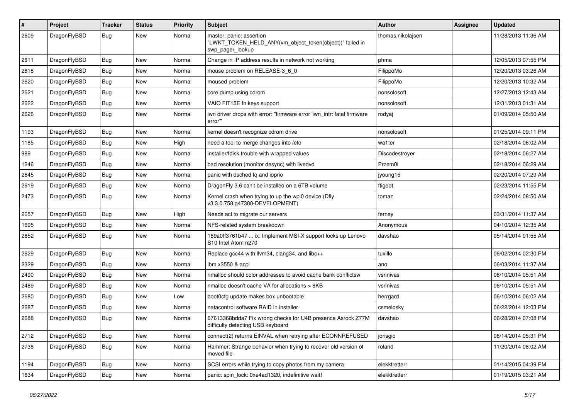| $\pmb{\#}$ | Project      | <b>Tracker</b> | <b>Status</b> | <b>Priority</b> | Subject                                                                                                  | <b>Author</b>     | Assignee | <b>Updated</b>      |
|------------|--------------|----------------|---------------|-----------------|----------------------------------------------------------------------------------------------------------|-------------------|----------|---------------------|
| 2609       | DragonFlyBSD | Bug            | <b>New</b>    | Normal          | master: panic: assertion<br>"LWKT_TOKEN_HELD_ANY(vm_object_token(object))" failed in<br>swp_pager_lookup | thomas.nikolajsen |          | 11/28/2013 11:36 AM |
| 2611       | DragonFlyBSD | <b>Bug</b>     | <b>New</b>    | Normal          | Change in IP address results in network not working                                                      | phma              |          | 12/05/2013 07:55 PM |
| 2618       | DragonFlyBSD | Bug            | <b>New</b>    | Normal          | mouse problem on RELEASE-3_6_0                                                                           | FilippoMo         |          | 12/20/2013 03:26 AM |
| 2620       | DragonFlyBSD | <b>Bug</b>     | New           | Normal          | moused problem                                                                                           | FilippoMo         |          | 12/20/2013 10:32 AM |
| 2621       | DragonFlyBSD | Bug            | <b>New</b>    | Normal          | core dump using cdrom                                                                                    | nonsolosoft       |          | 12/27/2013 12:43 AM |
| 2622       | DragonFlyBSD | <b>Bug</b>     | New           | Normal          | VAIO FIT15E fn keys support                                                                              | nonsolosoft       |          | 12/31/2013 01:31 AM |
| 2626       | DragonFlyBSD | Bug            | New           | Normal          | iwn driver drops with error: "firmware error 'iwn intr: fatal firmware<br>error"                         | rodyaj            |          | 01/09/2014 05:50 AM |
| 1193       | DragonFlyBSD | Bug            | <b>New</b>    | Normal          | kernel doesn't recognize cdrom drive                                                                     | nonsolosoft       |          | 01/25/2014 09:11 PM |
| 1185       | DragonFlyBSD | Bug            | New           | High            | need a tool to merge changes into /etc                                                                   | wa1ter            |          | 02/18/2014 06:02 AM |
| 989        | DragonFlyBSD | <b>Bug</b>     | <b>New</b>    | Normal          | installer/fdisk trouble with wrapped values                                                              | Discodestroyer    |          | 02/18/2014 06:27 AM |
| 1246       | DragonFlyBSD | <b>Bug</b>     | New           | Normal          | bad resolution (monitor desync) with livedvd                                                             | Przem0l           |          | 02/18/2014 06:29 AM |
| 2645       | DragonFlyBSD | <b>Bug</b>     | <b>New</b>    | Normal          | panic with dsched fq and ioprio                                                                          | jyoung15          |          | 02/20/2014 07:29 AM |
| 2619       | DragonFlyBSD | <b>Bug</b>     | New           | Normal          | DragonFly 3.6 can't be installed on a 6TB volume                                                         | ftigeot           |          | 02/23/2014 11:55 PM |
| 2473       | DragonFlyBSD | Bug            | New           | Normal          | Kernel crash when trying to up the wpi0 device (Dfly<br>v3.3.0.758.g47388-DEVELOPMENT)                   | tomaz             |          | 02/24/2014 08:50 AM |
| 2657       | DragonFlyBSD | Bug            | <b>New</b>    | High            | Needs acl to migrate our servers                                                                         | ferney            |          | 03/31/2014 11:37 AM |
| 1695       | DragonFlyBSD | Bug            | New           | Normal          | NFS-related system breakdown                                                                             | Anonymous         |          | 04/10/2014 12:35 AM |
| 2652       | DragonFlyBSD | Bug            | New           | Normal          | 189a0ff3761b47  ix: Implement MSI-X support locks up Lenovo<br>S10 Intel Atom n270                       | davshao           |          | 05/14/2014 01:55 AM |
| 2629       | DragonFlyBSD | Bug            | <b>New</b>    | Normal          | Replace gcc44 with llvm34, clang34, and libc++                                                           | tuxillo           |          | 06/02/2014 02:30 PM |
| 2329       | DragonFlyBSD | <b>Bug</b>     | New           | Normal          | ibm x3550 & acpi                                                                                         | ano               |          | 06/03/2014 11:37 AM |
| 2490       | DragonFlyBSD | <b>Bug</b>     | New           | Normal          | nmalloc should color addresses to avoid cache bank conflictsw                                            | vsrinivas         |          | 06/10/2014 05:51 AM |
| 2489       | DragonFlyBSD | Bug            | <b>New</b>    | Normal          | nmalloc doesn't cache VA for allocations > 8KB                                                           | vsrinivas         |          | 06/10/2014 05:51 AM |
| 2680       | DragonFlyBSD | Bug            | New           | Low             | boot0cfg update makes box unbootable                                                                     | herrgard          |          | 06/10/2014 06:02 AM |
| 2687       | DragonFlyBSD | Bug            | New           | Normal          | natacontrol software RAID in installer                                                                   | csmelosky         |          | 06/22/2014 12:03 PM |
| 2688       | DragonFlyBSD | <b>Bug</b>     | New           | Normal          | 67613368bdda7 Fix wrong checks for U4B presence Asrock Z77M<br>difficulty detecting USB keyboard         | davshao           |          | 06/28/2014 07:08 PM |
| 2712       | DragonFlyBSD | Bug            | New           | Normal          | connect(2) returns EINVAL when retrying after ECONNREFUSED                                               | jorisgio          |          | 08/14/2014 05:31 PM |
| 2738       | DragonFlyBSD | <b>Bug</b>     | New           | Normal          | Hammer: Strange behavior when trying to recover old version of<br>moved file                             | roland            |          | 11/20/2014 08:02 AM |
| 1194       | DragonFlyBSD | <b>Bug</b>     | New           | Normal          | SCSI errors while trying to copy photos from my camera                                                   | elekktretterr     |          | 01/14/2015 04:39 PM |
| 1634       | DragonFlyBSD | Bug            | New           | Normal          | panic: spin lock: 0xe4ad1320, indefinitive wait!                                                         | elekktretterr     |          | 01/19/2015 03:21 AM |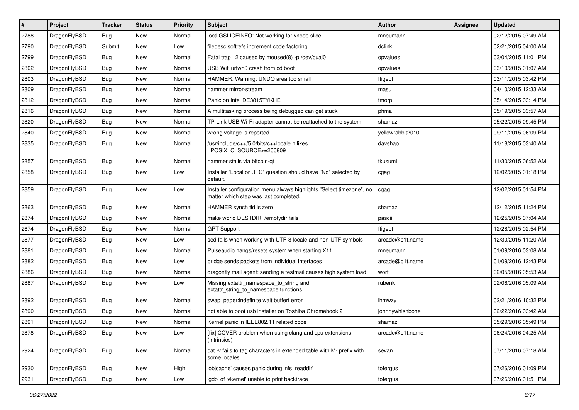| $\pmb{\#}$ | Project      | <b>Tracker</b> | <b>Status</b> | <b>Priority</b> | Subject                                                                                                       | Author           | Assignee | <b>Updated</b>      |
|------------|--------------|----------------|---------------|-----------------|---------------------------------------------------------------------------------------------------------------|------------------|----------|---------------------|
| 2788       | DragonFlyBSD | Bug            | <b>New</b>    | Normal          | ioctl GSLICEINFO: Not working for vnode slice                                                                 | mneumann         |          | 02/12/2015 07:49 AM |
| 2790       | DragonFlyBSD | Submit         | <b>New</b>    | Low             | filedesc softrefs increment code factoring                                                                    | dclink           |          | 02/21/2015 04:00 AM |
| 2799       | DragonFlyBSD | Bug            | <b>New</b>    | Normal          | Fatal trap 12 caused by moused(8) -p/dev/cual0                                                                | opvalues         |          | 03/04/2015 11:01 PM |
| 2802       | DragonFlyBSD | Bug            | <b>New</b>    | Normal          | USB Wifi urtwn0 crash from cd boot                                                                            | opvalues         |          | 03/10/2015 01:07 AM |
| 2803       | DragonFlyBSD | Bug            | <b>New</b>    | Normal          | HAMMER: Warning: UNDO area too small!                                                                         | ftigeot          |          | 03/11/2015 03:42 PM |
| 2809       | DragonFlyBSD | Bug            | New           | Normal          | hammer mirror-stream                                                                                          | masu             |          | 04/10/2015 12:33 AM |
| 2812       | DragonFlyBSD | Bug            | <b>New</b>    | Normal          | Panic on Intel DE3815TYKHE                                                                                    | tmorp            |          | 05/14/2015 03:14 PM |
| 2816       | DragonFlyBSD | Bug            | <b>New</b>    | Normal          | A multitasking process being debugged can get stuck                                                           | phma             |          | 05/19/2015 03:57 AM |
| 2820       | DragonFlyBSD | Bug            | <b>New</b>    | Normal          | TP-Link USB Wi-Fi adapter cannot be reattached to the system                                                  | shamaz           |          | 05/22/2015 09:45 PM |
| 2840       | DragonFlyBSD | Bug            | <b>New</b>    | Normal          | wrong voltage is reported                                                                                     | yellowrabbit2010 |          | 09/11/2015 06:09 PM |
| 2835       | DragonFlyBSD | Bug            | New           | Normal          | usr/include/c++/5.0/bits/c++locale.h likes<br>POSIX_C_SOURCE>=200809                                          | davshao          |          | 11/18/2015 03:40 AM |
| 2857       | DragonFlyBSD | Bug            | <b>New</b>    | Normal          | hammer stalls via bitcoin-qt                                                                                  | tkusumi          |          | 11/30/2015 06:52 AM |
| 2858       | DragonFlyBSD | Bug            | <b>New</b>    | Low             | Installer "Local or UTC" question should have "No" selected by<br>default.                                    | cgag             |          | 12/02/2015 01:18 PM |
| 2859       | DragonFlyBSD | Bug            | <b>New</b>    | Low             | Installer configuration menu always highlights "Select timezone", no<br>matter which step was last completed. | cgag             |          | 12/02/2015 01:54 PM |
| 2863       | DragonFlyBSD | Bug            | <b>New</b>    | Normal          | HAMMER synch tid is zero                                                                                      | shamaz           |          | 12/12/2015 11:24 PM |
| 2874       | DragonFlyBSD | Bug            | <b>New</b>    | Normal          | make world DESTDIR=/emptydir fails                                                                            | pascii           |          | 12/25/2015 07:04 AM |
| 2674       | DragonFlyBSD | Bug            | <b>New</b>    | Normal          | <b>GPT Support</b>                                                                                            | ftigeot          |          | 12/28/2015 02:54 PM |
| 2877       | DragonFlyBSD | Bug            | <b>New</b>    | Low             | sed fails when working with UTF-8 locale and non-UTF symbols                                                  | arcade@b1t.name  |          | 12/30/2015 11:20 AM |
| 2881       | DragonFlyBSD | Bug            | New           | Normal          | Pulseaudio hangs/resets system when starting X11                                                              | mneumann         |          | 01/09/2016 03:08 AM |
| 2882       | DragonFlyBSD | Bug            | <b>New</b>    | Low             | bridge sends packets from individual interfaces                                                               | arcade@b1t.name  |          | 01/09/2016 12:43 PM |
| 2886       | DragonFlyBSD | Bug            | New           | Normal          | dragonfly mail agent: sending a testmail causes high system load                                              | worf             |          | 02/05/2016 05:53 AM |
| 2887       | DragonFlyBSD | Bug            | New           | Low             | Missing extattr_namespace_to_string and<br>extattr_string_to_namespace functions                              | rubenk           |          | 02/06/2016 05:09 AM |
| 2892       | DragonFlyBSD | Bug            | <b>New</b>    | Normal          | swap pager:indefinite wait bufferf error                                                                      | lhmwzy           |          | 02/21/2016 10:32 PM |
| 2890       | DragonFlyBSD | Bug            | <b>New</b>    | Normal          | not able to boot usb installer on Toshiba Chromebook 2                                                        | johnnywhishbone  |          | 02/22/2016 03:42 AM |
| 2891       | DragonFlyBSD | <b>Bug</b>     | New           | Normal          | Kernel panic in IEEE802.11 related code                                                                       | shamaz           |          | 05/29/2016 05:49 PM |
| 2878       | DragonFlyBSD | <b>Bug</b>     | New           | Low             | [fix] CCVER problem when using clang and cpu extensions<br>(intrinsics)                                       | arcade@b1t.name  |          | 06/24/2016 04:25 AM |
| 2924       | DragonFlyBSD | Bug            | New           | Normal          | cat -v fails to tag characters in extended table with M- prefix with<br>some locales                          | sevan            |          | 07/11/2016 07:18 AM |
| 2930       | DragonFlyBSD | Bug            | New           | High            | 'objcache' causes panic during 'nfs_readdir'                                                                  | tofergus         |          | 07/26/2016 01:09 PM |
| 2931       | DragonFlyBSD | <b>Bug</b>     | New           | Low             | 'gdb' of 'vkernel' unable to print backtrace                                                                  | tofergus         |          | 07/26/2016 01:51 PM |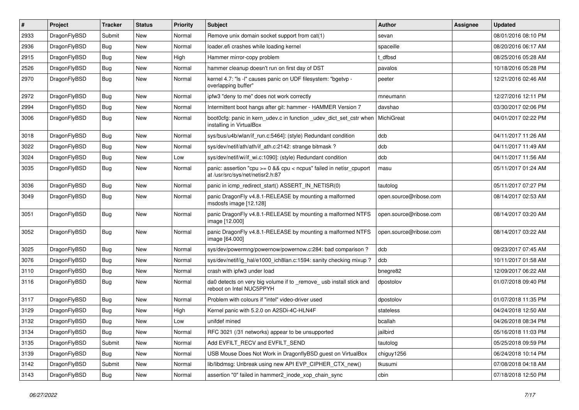| #    | Project      | <b>Tracker</b> | <b>Status</b> | <b>Priority</b> | <b>Subject</b>                                                                                          | <b>Author</b>          | Assignee | <b>Updated</b>      |
|------|--------------|----------------|---------------|-----------------|---------------------------------------------------------------------------------------------------------|------------------------|----------|---------------------|
| 2933 | DragonFlyBSD | Submit         | <b>New</b>    | Normal          | Remove unix domain socket support from cat(1)                                                           | sevan                  |          | 08/01/2016 08:10 PM |
| 2936 | DragonFlyBSD | Bug            | <b>New</b>    | Normal          | loader.efi crashes while loading kernel                                                                 | spaceille              |          | 08/20/2016 06:17 AM |
| 2915 | DragonFlyBSD | <b>Bug</b>     | New           | High            | Hammer mirror-copy problem                                                                              | t dfbsd                |          | 08/25/2016 05:28 AM |
| 2526 | DragonFlyBSD | Bug            | New           | Normal          | hammer cleanup doesn't run on first day of DST                                                          | pavalos                |          | 10/18/2016 05:28 PM |
| 2970 | DragonFlyBSD | <b>Bug</b>     | New           | Normal          | kernel 4.7: "Is -I" causes panic on UDF filesystem: "bgetvp -<br>overlapping buffer"                    | peeter                 |          | 12/21/2016 02:46 AM |
| 2972 | DragonFlyBSD | <b>Bug</b>     | New           | Normal          | ipfw3 "deny to me" does not work correctly                                                              | mneumann               |          | 12/27/2016 12:11 PM |
| 2994 | DragonFlyBSD | Bug            | New           | Normal          | Intermittent boot hangs after git: hammer - HAMMER Version 7                                            | davshao                |          | 03/30/2017 02:06 PM |
| 3006 | DragonFlyBSD | Bug            | New           | Normal          | boot0cfg: panic in kern_udev.c in function _udev_dict_set_cstr when<br>installing in VirtualBox         | MichiGreat             |          | 04/01/2017 02:22 PM |
| 3018 | DragonFlyBSD | <b>Bug</b>     | <b>New</b>    | Normal          | sys/bus/u4b/wlan/if run.c:5464]: (style) Redundant condition                                            | dcb                    |          | 04/11/2017 11:26 AM |
| 3022 | DragonFlyBSD | Bug            | New           | Normal          | sys/dev/netif/ath/ath/if ath.c:2142: strange bitmask?                                                   | dcb                    |          | 04/11/2017 11:49 AM |
| 3024 | DragonFlyBSD | <b>Bug</b>     | New           | Low             | sys/dev/netif/wi/if_wi.c:1090]: (style) Redundant condition                                             | dcb                    |          | 04/11/2017 11:56 AM |
| 3035 | DragonFlyBSD | Bug            | New           | Normal          | panic: assertion "cpu >= 0 && cpu < ncpus" failed in netisr_cpuport<br>at /usr/src/sys/net/netisr2.h:87 | masu                   |          | 05/11/2017 01:24 AM |
| 3036 | DragonFlyBSD | Bug            | New           | Normal          | panic in icmp redirect start() ASSERT IN NETISR(0)                                                      | tautolog               |          | 05/11/2017 07:27 PM |
| 3049 | DragonFlyBSD | Bug            | New           | Normal          | panic DragonFly v4.8.1-RELEASE by mounting a malformed<br>msdosfs image [12.128]                        | open.source@ribose.com |          | 08/14/2017 02:53 AM |
| 3051 | DragonFlyBSD | <b>Bug</b>     | New           | Normal          | panic DragonFly v4.8.1-RELEASE by mounting a malformed NTFS<br>image [12.000]                           | open.source@ribose.com |          | 08/14/2017 03:20 AM |
| 3052 | DragonFlyBSD | Bug            | <b>New</b>    | Normal          | panic DragonFly v4.8.1-RELEASE by mounting a malformed NTFS<br>image [64.000]                           | open.source@ribose.com |          | 08/14/2017 03:22 AM |
| 3025 | DragonFlyBSD | <b>Bug</b>     | New           | Normal          | sys/dev/powermng/powernow/powernow.c:284: bad comparison ?                                              | dcb                    |          | 09/23/2017 07:45 AM |
| 3076 | DragonFlyBSD | Bug            | New           | Normal          | sys/dev/netif/ig_hal/e1000_ich8lan.c:1594: sanity checking mixup?                                       | dcb                    |          | 10/11/2017 01:58 AM |
| 3110 | DragonFlyBSD | <b>Bug</b>     | New           | Normal          | crash with ipfw3 under load                                                                             | bnegre82               |          | 12/09/2017 06:22 AM |
| 3116 | DragonFlyBSD | Bug            | <b>New</b>    | Normal          | da0 detects on very big volume if to _remove_ usb install stick and<br>reboot on Intel NUC5PPYH         | dpostolov              |          | 01/07/2018 09:40 PM |
| 3117 | DragonFlyBSD | <b>Bug</b>     | New           | Normal          | Problem with colours if "intel" video-driver used                                                       | dpostolov              |          | 01/07/2018 11:35 PM |
| 3129 | DragonFlyBSD | <b>Bug</b>     | <b>New</b>    | High            | Kernel panic with 5.2.0 on A2SDi-4C-HLN4F                                                               | stateless              |          | 04/24/2018 12:50 AM |
| 3132 | DragonFlyBSD | Bug            | New           | Low             | unifdef mined                                                                                           | bcallah                |          | 04/26/2018 08:34 PM |
| 3134 | DragonFlyBSD | <b>Bug</b>     | <b>New</b>    | Normal          | RFC 3021 (/31 networks) appear to be unsupported                                                        | jailbird               |          | 05/16/2018 11:03 PM |
| 3135 | DragonFlyBSD | Submit         | New           | Normal          | Add EVFILT_RECV and EVFILT_SEND                                                                         | tautolog               |          | 05/25/2018 09:59 PM |
| 3139 | DragonFlyBSD | <b>Bug</b>     | New           | Normal          | USB Mouse Does Not Work in DragonflyBSD guest on VirtualBox                                             | chiguy1256             |          | 06/24/2018 10:14 PM |
| 3142 | DragonFlyBSD | Submit         | New           | Normal          | lib/libdmsg: Unbreak using new API EVP CIPHER CTX new()                                                 | tkusumi                |          | 07/08/2018 04:18 AM |
| 3143 | DragonFlyBSD | <b>Bug</b>     | New           | Normal          | assertion "0" failed in hammer2 inode xop chain sync                                                    | cbin                   |          | 07/18/2018 12:50 PM |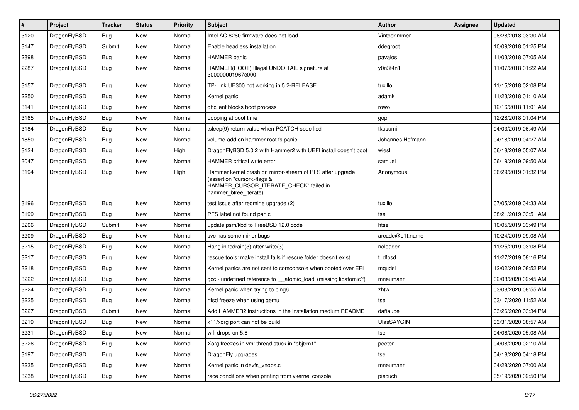| $\sharp$ | Project      | <b>Tracker</b> | <b>Status</b> | <b>Priority</b> | Subject                                                                                                                                                     | <b>Author</b>     | Assignee | <b>Updated</b>      |
|----------|--------------|----------------|---------------|-----------------|-------------------------------------------------------------------------------------------------------------------------------------------------------------|-------------------|----------|---------------------|
| 3120     | DragonFlyBSD | Bug            | <b>New</b>    | Normal          | Intel AC 8260 firmware does not load                                                                                                                        | Vintodrimmer      |          | 08/28/2018 03:30 AM |
| 3147     | DragonFlyBSD | Submit         | <b>New</b>    | Normal          | Enable headless installation                                                                                                                                | ddegroot          |          | 10/09/2018 01:25 PM |
| 2898     | DragonFlyBSD | <b>Bug</b>     | New           | Normal          | <b>HAMMER</b> panic                                                                                                                                         | pavalos           |          | 11/03/2018 07:05 AM |
| 2287     | DragonFlyBSD | Bug            | <b>New</b>    | Normal          | HAMMER(ROOT) Illegal UNDO TAIL signature at<br>300000001967c000                                                                                             | y0n3t4n1          |          | 11/07/2018 01:22 AM |
| 3157     | DragonFlyBSD | Bug            | New           | Normal          | TP-Link UE300 not working in 5.2-RELEASE                                                                                                                    | tuxillo           |          | 11/15/2018 02:08 PM |
| 2250     | DragonFlyBSD | Bug            | <b>New</b>    | Normal          | Kernel panic                                                                                                                                                | adamk             |          | 11/23/2018 01:10 AM |
| 3141     | DragonFlyBSD | <b>Bug</b>     | <b>New</b>    | Normal          | dhclient blocks boot process                                                                                                                                | rowo              |          | 12/16/2018 11:01 AM |
| 3165     | DragonFlyBSD | <b>Bug</b>     | <b>New</b>    | Normal          | Looping at boot time                                                                                                                                        | gop               |          | 12/28/2018 01:04 PM |
| 3184     | DragonFlyBSD | Bug            | <b>New</b>    | Normal          | tsleep(9) return value when PCATCH specified                                                                                                                | tkusumi           |          | 04/03/2019 06:49 AM |
| 1850     | DragonFlyBSD | Bug            | New           | Normal          | volume-add on hammer root fs panic                                                                                                                          | Johannes.Hofmann  |          | 04/18/2019 04:27 AM |
| 3124     | DragonFlyBSD | Bug            | <b>New</b>    | High            | DragonFlyBSD 5.0.2 with Hammer2 with UEFI install doesn't boot                                                                                              | wiesl             |          | 06/18/2019 05:07 AM |
| 3047     | DragonFlyBSD | <b>Bug</b>     | <b>New</b>    | Normal          | HAMMER critical write error                                                                                                                                 | samuel            |          | 06/19/2019 09:50 AM |
| 3194     | DragonFlyBSD | Bug            | New           | High            | Hammer kernel crash on mirror-stream of PFS after upgrade<br>(assertion "cursor->flags &<br>HAMMER_CURSOR_ITERATE_CHECK" failed in<br>hammer_btree_iterate) | Anonymous         |          | 06/29/2019 01:32 PM |
| 3196     | DragonFlyBSD | Bug            | <b>New</b>    | Normal          | test issue after redmine upgrade (2)                                                                                                                        | tuxillo           |          | 07/05/2019 04:33 AM |
| 3199     | DragonFlyBSD | <b>Bug</b>     | <b>New</b>    | Normal          | PFS label not found panic                                                                                                                                   | tse               |          | 08/21/2019 03:51 AM |
| 3206     | DragonFlyBSD | Submit         | New           | Normal          | update psm/kbd to FreeBSD 12.0 code                                                                                                                         | htse              |          | 10/05/2019 03:49 PM |
| 3209     | DragonFlyBSD | <b>Bug</b>     | New           | Normal          | svc has some minor bugs                                                                                                                                     | arcade@b1t.name   |          | 10/24/2019 09:08 AM |
| 3215     | DragonFlyBSD | <b>Bug</b>     | <b>New</b>    | Normal          | Hang in tcdrain(3) after write(3)                                                                                                                           | noloader          |          | 11/25/2019 03:08 PM |
| 3217     | DragonFlyBSD | Bug            | New           | Normal          | rescue tools: make install fails if rescue folder doesn't exist                                                                                             | t_dfbsd           |          | 11/27/2019 08:16 PM |
| 3218     | DragonFlyBSD | <b>Bug</b>     | <b>New</b>    | Normal          | Kernel panics are not sent to comconsole when booted over EFI                                                                                               | mqudsi            |          | 12/02/2019 08:52 PM |
| 3222     | DragonFlyBSD | <b>Bug</b>     | New           | Normal          | gcc - undefined reference to '__atomic_load' (missing libatomic?)                                                                                           | mneumann          |          | 02/08/2020 02:45 AM |
| 3224     | DragonFlyBSD | Bug            | <b>New</b>    | Normal          | Kernel panic when trying to ping6                                                                                                                           | zhtw              |          | 03/08/2020 08:55 AM |
| 3225     | DragonFlyBSD | Bug            | New           | Normal          | nfsd freeze when using gemu                                                                                                                                 | tse               |          | 03/17/2020 11:52 AM |
| 3227     | DragonFlyBSD | Submit         | New           | Normal          | Add HAMMER2 instructions in the installation medium README                                                                                                  | daftaupe          |          | 03/26/2020 03:34 PM |
| 3219     | DragonFlyBSD | Bug            | New           | Normal          | x11/xorg port can not be build                                                                                                                              | <b>UlasSAYGIN</b> |          | 03/31/2020 08:57 AM |
| 3231     | DragonFlyBSD | <b>Bug</b>     | New           | Normal          | wifi drops on 5.8                                                                                                                                           | tse               |          | 04/06/2020 05:08 AM |
| 3226     | DragonFlyBSD | <b>Bug</b>     | <b>New</b>    | Normal          | Xorg freezes in vm: thread stuck in "objtrm1"                                                                                                               | peeter            |          | 04/08/2020 02:10 AM |
| 3197     | DragonFlyBSD | <b>Bug</b>     | New           | Normal          | DragonFly upgrades                                                                                                                                          | tse               |          | 04/18/2020 04:18 PM |
| 3235     | DragonFlyBSD | <b>Bug</b>     | New           | Normal          | Kernel panic in devfs_vnops.c                                                                                                                               | mneumann          |          | 04/28/2020 07:00 AM |
| 3238     | DragonFlyBSD | <b>Bug</b>     | New           | Normal          | race conditions when printing from vkernel console                                                                                                          | piecuch           |          | 05/19/2020 02:50 PM |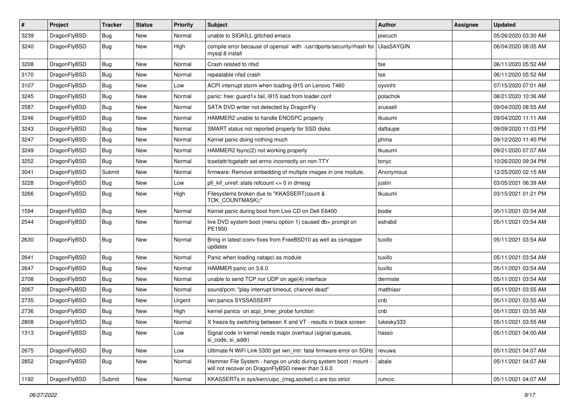| $\pmb{\#}$ | Project      | <b>Tracker</b> | <b>Status</b> | <b>Priority</b> | <b>Subject</b>                                                                                                       | <b>Author</b>     | <b>Assignee</b> | <b>Updated</b>      |
|------------|--------------|----------------|---------------|-----------------|----------------------------------------------------------------------------------------------------------------------|-------------------|-----------------|---------------------|
| 3239       | DragonFlyBSD | Bug            | <b>New</b>    | Normal          | unable to SIGKILL glitched emacs                                                                                     | piecuch           |                 | 05/26/2020 03:30 AM |
| 3240       | DragonFlyBSD | Bug            | New           | High            | compile error because of openssl with /usr/dports/security/rhash for<br>mysql 8 install                              | <b>UlasSAYGIN</b> |                 | 06/04/2020 08:05 AM |
| 3208       | DragonFlyBSD | Bug            | <b>New</b>    | Normal          | Crash related to nfsd                                                                                                | tse               |                 | 06/11/2020 05:52 AM |
| 3170       | DragonFlyBSD | <b>Bug</b>     | <b>New</b>    | Normal          | repeatable nfsd crash                                                                                                | tse               |                 | 06/11/2020 05:52 AM |
| 3107       | DragonFlyBSD | Bug            | New           | Low             | ACPI interrupt storm when loading i915 on Lenovo T460                                                                | oyvinht           |                 | 07/15/2020 07:01 AM |
| 3245       | DragonFlyBSD | Bug            | <b>New</b>    | Normal          | panic: free: guard1x fail, i915 load from loader.conf                                                                | polachok          |                 | 08/21/2020 10:36 AM |
| 2587       | DragonFlyBSD | Bug            | <b>New</b>    | Normal          | SATA DVD writer not detected by DragonFly                                                                            | srussell          |                 | 09/04/2020 08:55 AM |
| 3246       | DragonFlyBSD | Bug            | <b>New</b>    | Normal          | HAMMER2 unable to handle ENOSPC properly                                                                             | tkusumi           |                 | 09/04/2020 11:11 AM |
| 3243       | DragonFlyBSD | Bug            | <b>New</b>    | Normal          | SMART status not reported properly for SSD disks                                                                     | daftaupe          |                 | 09/09/2020 11:03 PM |
| 3247       | DragonFlyBSD | <b>Bug</b>     | New           | Normal          | Kernel panic doing nothing much                                                                                      | phma              |                 | 09/12/2020 11:40 PM |
| 3249       | DragonFlyBSD | Bug            | <b>New</b>    | Normal          | HAMMER2 fsync(2) not working properly                                                                                | tkusumi           |                 | 09/21/2020 07:07 AM |
| 3252       | DragonFlyBSD | Bug            | New           | Normal          | tcsetattr/tcgetattr set errno incorrectly on non-TTY                                                                 | tonyc             |                 | 10/26/2020 09:34 PM |
| 3041       | DragonFlyBSD | Submit         | <b>New</b>    | Normal          | firmware: Remove embedding of multiple images in one module.                                                         | Anonymous         |                 | 12/25/2020 02:15 AM |
| 3228       | DragonFlyBSD | Bug            | <b>New</b>    | Low             | pfi_kif_unref: state refcount <= 0 in dmesg                                                                          | justin            |                 | 03/05/2021 06:39 AM |
| 3266       | DragonFlyBSD | Bug            | New           | High            | Filesystems broken due to "KKASSERT(count &<br>TOK_COUNTMASK);"                                                      | tkusumi           |                 | 03/15/2021 01:21 PM |
| 1594       | DragonFlyBSD | Bug            | New           | Normal          | Kernel panic during boot from Live CD on Dell E6400                                                                  | bodie             |                 | 05/11/2021 03:54 AM |
| 2544       | DragonFlyBSD | Bug            | New           | Normal          | live DVD system boot (menu option 1) caused db> prompt on<br>PE1950                                                  | estrabd           |                 | 05/11/2021 03:54 AM |
| 2630       | DragonFlyBSD | Bug            | New           | Normal          | Bring in latest iconv fixes from FreeBSD10 as well as csmapper<br>updates                                            | tuxillo           |                 | 05/11/2021 03:54 AM |
| 2641       | DragonFlyBSD | Bug            | <b>New</b>    | Normal          | Panic when loading natapci as module                                                                                 | tuxillo           |                 | 05/11/2021 03:54 AM |
| 2647       | DragonFlyBSD | Bug            | New           | Normal          | HAMMER panic on 3.6.0                                                                                                | tuxillo           |                 | 05/11/2021 03:54 AM |
| 2708       | DragonFlyBSD | Bug            | <b>New</b>    | Normal          | unable to send TCP nor UDP on age(4) interface                                                                       | dermiste          |                 | 05/11/2021 03:54 AM |
| 2067       | DragonFlyBSD | <b>Bug</b>     | <b>New</b>    | Normal          | sound/pcm: "play interrupt timeout, channel dead"                                                                    | matthiasr         |                 | 05/11/2021 03:55 AM |
| 2735       | DragonFlyBSD | Bug            | New           | Urgent          | iwn panics SYSSASSERT                                                                                                | cnb               |                 | 05/11/2021 03:55 AM |
| 2736       | DragonFlyBSD | Bug            | New           | High            | kernel panics on acpi_timer_probe function                                                                           | cnb               |                 | 05/11/2021 03:55 AM |
| 2808       | DragonFlyBSD | <b>Bug</b>     | New           | Normal          | X freeze by switching between X and VT - results in black screen                                                     | lukesky333        |                 | 05/11/2021 03:55 AM |
| 1313       | DragonFlyBSD | <b>Bug</b>     | New           | Low             | Signal code in kernel needs major overhaul (signal queues,<br>si code, si addr)                                      | hasso             |                 | 05/11/2021 04:00 AM |
| 2675       | DragonFlyBSD | Bug            | New           | Low             | Ultimate N WiFi Link 5300 get iwn_intr: fatal firmware error on 5GHz                                                 | revuwa            |                 | 05/11/2021 04:07 AM |
| 2852       | DragonFlyBSD | Bug            | New           | Normal          | Hammer File System - hangs on undo during system boot / mount -<br>will not recover on DragonFlyBSD newer than 3.6.0 | abale             |                 | 05/11/2021 04:07 AM |
| 1192       | DragonFlyBSD | Submit         | New           | Normal          | KKASSERTs in sys/kern/uipc_{msg,socket}.c are too strict                                                             | rumcic            |                 | 05/11/2021 04:07 AM |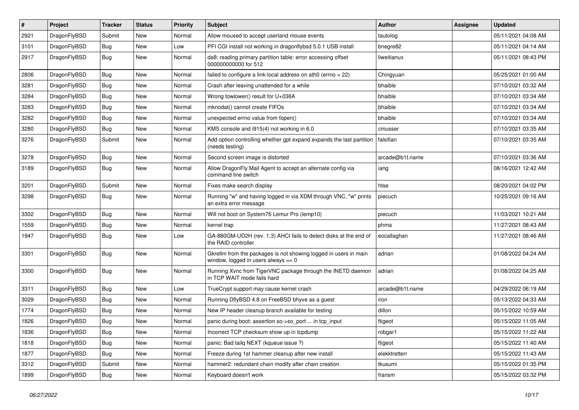| $\pmb{\#}$ | Project      | <b>Tracker</b> | <b>Status</b> | <b>Priority</b> | Subject                                                                                                   | <b>Author</b>   | <b>Assignee</b> | <b>Updated</b>      |
|------------|--------------|----------------|---------------|-----------------|-----------------------------------------------------------------------------------------------------------|-----------------|-----------------|---------------------|
| 2921       | DragonFlyBSD | Submit         | <b>New</b>    | Normal          | Allow moused to accept userland mouse events                                                              | tautolog        |                 | 05/11/2021 04:08 AM |
| 3101       | DragonFlyBSD | Bug            | <b>New</b>    | Low             | PFI CGI install not working in dragonflybsd 5.0.1 USB install                                             | bnegre82        |                 | 05/11/2021 04:14 AM |
| 2917       | DragonFlyBSD | Bug            | New           | Normal          | da8: reading primary partition table: error accessing offset<br>000000000000 for 512                      | liweitianux     |                 | 05/11/2021 08:43 PM |
| 2806       | DragonFlyBSD | <b>Bug</b>     | <b>New</b>    | Normal          | failed to configure a link-local address on ath $0$ (errno = 22)                                          | Chingyuan       |                 | 05/25/2021 01:00 AM |
| 3281       | DragonFlyBSD | Bug            | New           | Normal          | Crash after leaving unattended for a while                                                                | bhaible         |                 | 07/10/2021 03:32 AM |
| 3284       | DragonFlyBSD | Bug            | <b>New</b>    | Normal          | Wrong towlower() result for U+038A                                                                        | bhaible         |                 | 07/10/2021 03:34 AM |
| 3283       | DragonFlyBSD | Bug            | New           | Normal          | mknodat() cannot create FIFOs                                                                             | bhaible         |                 | 07/10/2021 03:34 AM |
| 3282       | DragonFlyBSD | Bug            | New           | Normal          | unexpected errno value from fopen()                                                                       | bhaible         |                 | 07/10/2021 03:34 AM |
| 3280       | DragonFlyBSD | Bug            | <b>New</b>    | Normal          | KMS console and i915(4) not working in 6.0                                                                | cmusser         |                 | 07/10/2021 03:35 AM |
| 3276       | DragonFlyBSD | Submit         | New           | Normal          | Add option controlling whether gpt expand expands the last partition<br>(needs testing)                   | falsifian       |                 | 07/10/2021 03:35 AM |
| 3278       | DragonFlyBSD | <b>Bug</b>     | <b>New</b>    | Normal          | Second screen image is distorted                                                                          | arcade@b1t.name |                 | 07/10/2021 03:36 AM |
| 3189       | DragonFlyBSD | Bug            | <b>New</b>    | Normal          | Allow DragonFly Mail Agent to accept an alternate config via<br>command line switch                       | iang            |                 | 08/16/2021 12:42 AM |
| 3201       | DragonFlyBSD | Submit         | New           | Normal          | Fixes make search display                                                                                 | htse            |                 | 08/20/2021 04:02 PM |
| 3298       | DragonFlyBSD | Bug            | New           | Normal          | Running "w" and having logged in via XDM through VNC, "w" prints<br>an extra error message                | piecuch         |                 | 10/25/2021 09:16 AM |
| 3302       | DragonFlyBSD | <b>Bug</b>     | <b>New</b>    | Normal          | Will not boot on System76 Lemur Pro (lemp10)                                                              | piecuch         |                 | 11/03/2021 10:21 AM |
| 1559       | DragonFlyBSD | Bug            | New           | Normal          | kernel trap                                                                                               | phma            |                 | 11/27/2021 08:43 AM |
| 1947       | DragonFlyBSD | Bug            | New           | Low             | GA-880GM-UD2H (rev. 1.3) AHCI fails to detect disks at the end of<br>the RAID controller                  | eocallaghan     |                 | 11/27/2021 08:46 AM |
| 3301       | DragonFlyBSD | Bug            | <b>New</b>    | Normal          | Gkrellm from the packages is not showing logged in users in main<br>window, logged in users always $== 0$ | adrian          |                 | 01/08/2022 04:24 AM |
| 3300       | DragonFlyBSD | Bug            | <b>New</b>    | Normal          | Running Xvnc from TigerVNC package through the INETD daemon<br>in TCP WAIT mode fails hard                | adrian          |                 | 01/08/2022 04:25 AM |
| 3311       | DragonFlyBSD | <b>Bug</b>     | <b>New</b>    | Low             | TrueCrypt support may cause kernel crash                                                                  | arcade@b1t.name |                 | 04/29/2022 06:19 AM |
| 3029       | DragonFlyBSD | <b>Bug</b>     | New           | Normal          | Running DflyBSD 4.8 on FreeBSD bhyve as a guest                                                           | iron            |                 | 05/13/2022 04:33 AM |
| 1774       | DragonFlyBSD | Bug            | <b>New</b>    | Normal          | New IP header cleanup branch available for testing                                                        | dillon          |                 | 05/15/2022 10:59 AM |
| 1826       | DragonFlyBSD | <b>Bug</b>     | New           | Normal          | panic during boot: assertion so->so port  in tcp input                                                    | ftigeot         |                 | 05/15/2022 11:05 AM |
| 1836       | DragonFlyBSD | Bug            | New           | Normal          | Incorrect TCP checksum show up in tcpdump                                                                 | robgar1         |                 | 05/15/2022 11:22 AM |
| 1818       | DragonFlyBSD | Bug            | New           | Normal          | panic: Bad tailg NEXT (kqueue issue ?)                                                                    | ftigeot         |                 | 05/15/2022 11:40 AM |
| 1877       | DragonFlyBSD | Bug            | New           | Normal          | Freeze during 1st hammer cleanup after new install                                                        | elekktretterr   |                 | 05/15/2022 11:43 AM |
| 3312       | DragonFlyBSD | Submit         | New           | Normal          | hammer2: redundant chain modify after chain creation                                                      | tkusumi         |                 | 05/15/2022 01:35 PM |
| 1899       | DragonFlyBSD | Bug            | New           | Normal          | Keyboard doesn't work                                                                                     | fransm          |                 | 05/15/2022 03:32 PM |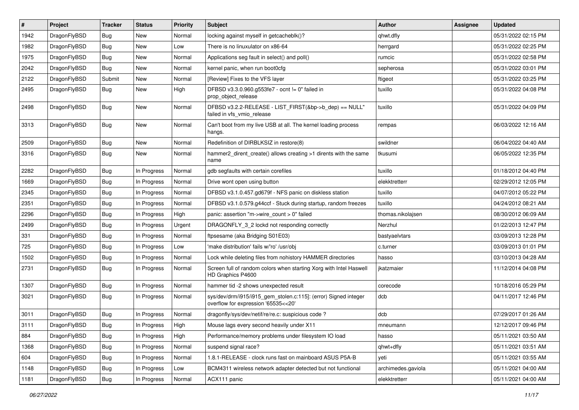| $\vert$ # | Project      | <b>Tracker</b> | <b>Status</b> | <b>Priority</b> | Subject                                                                                                | <b>Author</b>      | Assignee | <b>Updated</b>      |
|-----------|--------------|----------------|---------------|-----------------|--------------------------------------------------------------------------------------------------------|--------------------|----------|---------------------|
| 1942      | DragonFlyBSD | Bug            | New           | Normal          | locking against myself in getcacheblk()?                                                               | qhwt.dfly          |          | 05/31/2022 02:15 PM |
| 1982      | DragonFlyBSD | Bug            | New           | Low             | There is no linuxulator on x86-64                                                                      | herrgard           |          | 05/31/2022 02:25 PM |
| 1975      | DragonFlyBSD | Bug            | New           | Normal          | Applications seg fault in select() and poll()                                                          | rumcic             |          | 05/31/2022 02:58 PM |
| 2042      | DragonFlyBSD | Bug            | New           | Normal          | kernel panic, when run boot0cfg                                                                        | sepherosa          |          | 05/31/2022 03:01 PM |
| 2122      | DragonFlyBSD | Submit         | <b>New</b>    | Normal          | [Review] Fixes to the VFS layer                                                                        | ftigeot            |          | 05/31/2022 03:25 PM |
| 2495      | DragonFlyBSD | Bug            | New           | High            | DFBSD v3.3.0.960.g553fe7 - ocnt != 0" failed in<br>prop_object_release                                 | tuxillo            |          | 05/31/2022 04:08 PM |
| 2498      | DragonFlyBSD | Bug            | <b>New</b>    | Normal          | DFBSD v3.2.2-RELEASE - LIST_FIRST(&bp->b_dep) == NULL"<br>failed in vfs vmio release                   | tuxillo            |          | 05/31/2022 04:09 PM |
| 3313      | DragonFlyBSD | <b>Bug</b>     | New           | Normal          | Can't boot from my live USB at all. The kernel loading process<br>hangs.                               | rempas             |          | 06/03/2022 12:16 AM |
| 2509      | DragonFlyBSD | Bug            | New           | Normal          | Redefinition of DIRBLKSIZ in restore(8)                                                                | swildner           |          | 06/04/2022 04:40 AM |
| 3316      | DragonFlyBSD | <b>Bug</b>     | <b>New</b>    | Normal          | hammer2_dirent_create() allows creating >1 dirents with the same<br>name                               | tkusumi            |          | 06/05/2022 12:35 PM |
| 2282      | DragonFlyBSD | <b>Bug</b>     | In Progress   | Normal          | gdb segfaults with certain corefiles                                                                   | tuxillo            |          | 01/18/2012 04:40 PM |
| 1669      | DragonFlyBSD | <b>Bug</b>     | In Progress   | Normal          | Drive wont open using button                                                                           | elekktretterr      |          | 02/29/2012 12:05 PM |
| 2345      | DragonFlyBSD | <b>Bug</b>     | In Progress   | Normal          | DFBSD v3.1.0.457.gd679f - NFS panic on diskless station                                                | tuxillo            |          | 04/07/2012 05:22 PM |
| 2351      | DragonFlyBSD | <b>Bug</b>     | In Progress   | Normal          | DFBSD v3.1.0.579.g44ccf - Stuck during startup, random freezes                                         | tuxillo            |          | 04/24/2012 08:21 AM |
| 2296      | DragonFlyBSD | <b>Bug</b>     | In Progress   | High            | panic: assertion "m->wire_count > 0" failed                                                            | thomas.nikolajsen  |          | 08/30/2012 06:09 AM |
| 2499      | DragonFlyBSD | <b>Bug</b>     | In Progress   | Urgent          | DRAGONFLY_3_2 lockd not responding correctly                                                           | Nerzhul            |          | 01/22/2013 12:47 PM |
| 331       | DragonFlyBSD | <b>Bug</b>     | In Progress   | Normal          | ftpsesame (aka Bridging S01E03)                                                                        | bastyaelvtars      |          | 03/09/2013 12:28 PM |
| 725       | DragonFlyBSD | <b>Bug</b>     | In Progress   | Low             | 'make distribution' fails w/'ro' /usr/obj                                                              | c.turner           |          | 03/09/2013 01:01 PM |
| 1502      | DragonFlyBSD | <b>Bug</b>     | In Progress   | Normal          | Lock while deleting files from nohistory HAMMER directories                                            | hasso              |          | 03/10/2013 04:28 AM |
| 2731      | DragonFlyBSD | <b>Bug</b>     | In Progress   | Normal          | Screen full of random colors when starting Xorg with Intel Haswell<br>HD Graphics P4600                | ikatzmaier         |          | 11/12/2014 04:08 PM |
| 1307      | DragonFlyBSD | <b>Bug</b>     | In Progress   | Normal          | hammer tid -2 shows unexpected result                                                                  | corecode           |          | 10/18/2016 05:29 PM |
| 3021      | DragonFlyBSD | <b>Bug</b>     | In Progress   | Normal          | sys/dev/drm/i915/i915_gem_stolen.c:115]: (error) Signed integer<br>overflow for expression '65535<<20' | dcb                |          | 04/11/2017 12:46 PM |
| 3011      | DragonFlyBSD | <b>Bug</b>     | In Progress   | Normal          | dragonfly/sys/dev/netif/re/re.c: suspicious code ?                                                     | dcb                |          | 07/29/2017 01:26 AM |
| 3111      | DragonFlvBSD | <b>Bug</b>     | In Progress   | High            | Mouse lags every second heavily under X11                                                              | mneumann           |          | 12/12/2017 09:46 PM |
| 884       | DragonFlyBSD | <b>Bug</b>     | In Progress   | High            | Performance/memory problems under filesystem IO load                                                   | hasso              |          | 05/11/2021 03:50 AM |
| 1368      | DragonFlyBSD | Bug            | In Progress   | Normal          | suspend signal race?                                                                                   | qhwt+dfly          |          | 05/11/2021 03:51 AM |
| 604       | DragonFlyBSD | <b>Bug</b>     | In Progress   | Normal          | 1.8.1-RELEASE - clock runs fast on mainboard ASUS P5A-B                                                | yeti               |          | 05/11/2021 03:55 AM |
| 1148      | DragonFlyBSD | <b>Bug</b>     | In Progress   | Low             | BCM4311 wireless network adapter detected but not functional                                           | archimedes.gaviola |          | 05/11/2021 04:00 AM |
| 1181      | DragonFlyBSD | <b>Bug</b>     | In Progress   | Normal          | ACX111 panic                                                                                           | elekktretterr      |          | 05/11/2021 04:00 AM |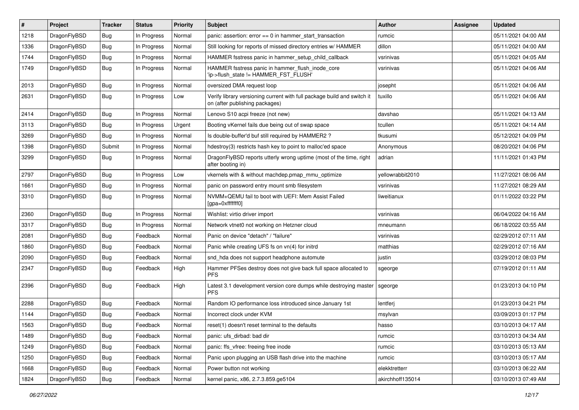| $\#$ | Project      | <b>Tracker</b> | <b>Status</b> | <b>Priority</b> | Subject                                                                                                   | Author           | Assignee | <b>Updated</b>      |
|------|--------------|----------------|---------------|-----------------|-----------------------------------------------------------------------------------------------------------|------------------|----------|---------------------|
| 1218 | DragonFlyBSD | <b>Bug</b>     | In Progress   | Normal          | panic: assertion: error == 0 in hammer_start_transaction                                                  | rumcic           |          | 05/11/2021 04:00 AM |
| 1336 | DragonFlyBSD | <b>Bug</b>     | In Progress   | Normal          | Still looking for reports of missed directory entries w/ HAMMER                                           | dillon           |          | 05/11/2021 04:00 AM |
| 1744 | DragonFlyBSD | <b>Bug</b>     | In Progress   | Normal          | HAMMER fsstress panic in hammer_setup_child_callback                                                      | vsrinivas        |          | 05/11/2021 04:05 AM |
| 1749 | DragonFlyBSD | <b>Bug</b>     | In Progress   | Normal          | HAMMER fsstress panic in hammer_flush_inode_core<br>'ip->flush_state != HAMMER_FST_FLUSH'                 | vsrinivas        |          | 05/11/2021 04:06 AM |
| 2013 | DragonFlyBSD | <b>Bug</b>     | In Progress   | Normal          | oversized DMA request loop                                                                                | josepht          |          | 05/11/2021 04:06 AM |
| 2631 | DragonFlyBSD | <b>Bug</b>     | In Progress   | Low             | Verify library versioning current with full package build and switch it<br>on (after publishing packages) | tuxillo          |          | 05/11/2021 04:06 AM |
| 2414 | DragonFlyBSD | <b>Bug</b>     | In Progress   | Normal          | Lenovo S10 acpi freeze (not new)                                                                          | davshao          |          | 05/11/2021 04:13 AM |
| 3113 | DragonFlyBSD | <b>Bug</b>     | In Progress   | Urgent          | Booting vKernel fails due being out of swap space                                                         | tcullen          |          | 05/11/2021 04:14 AM |
| 3269 | DragonFlyBSD | <b>Bug</b>     | In Progress   | Normal          | Is double-buffer'd buf still required by HAMMER2?                                                         | tkusumi          |          | 05/12/2021 04:09 PM |
| 1398 | DragonFlyBSD | Submit         | In Progress   | Normal          | hdestroy(3) restricts hash key to point to malloc'ed space                                                | Anonymous        |          | 08/20/2021 04:06 PM |
| 3299 | DragonFlyBSD | <b>Bug</b>     | In Progress   | Normal          | DragonFlyBSD reports utterly wrong uptime (most of the time, right<br>after booting in)                   | adrian           |          | 11/11/2021 01:43 PM |
| 2797 | DragonFlyBSD | <b>Bug</b>     | In Progress   | Low             | vkernels with & without machdep.pmap_mmu_optimize                                                         | yellowrabbit2010 |          | 11/27/2021 08:06 AM |
| 1661 | DragonFlyBSD | <b>Bug</b>     | In Progress   | Normal          | panic on password entry mount smb filesystem                                                              | vsrinivas        |          | 11/27/2021 08:29 AM |
| 3310 | DragonFlyBSD | <b>Bug</b>     | In Progress   | Normal          | NVMM+QEMU fail to boot with UEFI: Mem Assist Failed<br>[gpa=0xfffffff0]                                   | liweitianux      |          | 01/11/2022 03:22 PM |
| 2360 | DragonFlyBSD | <b>Bug</b>     | In Progress   | Normal          | Wishlist: virtio driver import                                                                            | vsrinivas        |          | 06/04/2022 04:16 AM |
| 3317 | DragonFlyBSD | <b>Bug</b>     | In Progress   | Normal          | Network vtnet0 not working on Hetzner cloud                                                               | mneumann         |          | 06/18/2022 03:55 AM |
| 2081 | DragonFlyBSD | <b>Bug</b>     | Feedback      | Normal          | Panic on device "detach" / "failure"                                                                      | vsrinivas        |          | 02/29/2012 07:11 AM |
| 1860 | DragonFlyBSD | <b>Bug</b>     | Feedback      | Normal          | Panic while creating UFS fs on vn(4) for initrd                                                           | matthias         |          | 02/29/2012 07:16 AM |
| 2090 | DragonFlyBSD | <b>Bug</b>     | Feedback      | Normal          | snd_hda does not support headphone automute                                                               | justin           |          | 03/29/2012 08:03 PM |
| 2347 | DragonFlyBSD | <b>Bug</b>     | Feedback      | High            | Hammer PFSes destroy does not give back full space allocated to<br><b>PFS</b>                             | sgeorge          |          | 07/19/2012 01:11 AM |
| 2396 | DragonFlyBSD | <b>Bug</b>     | Feedback      | High            | Latest 3.1 development version core dumps while destroying master<br><b>PFS</b>                           | sgeorge          |          | 01/23/2013 04:10 PM |
| 2288 | DragonFlyBSD | <b>Bug</b>     | Feedback      | Normal          | Random IO performance loss introduced since January 1st                                                   | lentferj         |          | 01/23/2013 04:21 PM |
| 1144 | DragonFlyBSD | <b>Bug</b>     | Feedback      | Normal          | Incorrect clock under KVM                                                                                 | msylvan          |          | 03/09/2013 01:17 PM |
| 1563 | DragonFlvBSD | <b>Bug</b>     | Feedback      | Normal          | reset(1) doesn't reset terminal to the defaults                                                           | hasso            |          | 03/10/2013 04:17 AM |
| 1489 | DragonFlyBSD | Bug            | Feedback      | Normal          | panic: ufs_dirbad: bad dir                                                                                | rumcic           |          | 03/10/2013 04:34 AM |
| 1249 | DragonFlyBSD | <b>Bug</b>     | Feedback      | Normal          | panic: ffs_vfree: freeing free inode                                                                      | rumcic           |          | 03/10/2013 05:13 AM |
| 1250 | DragonFlyBSD | <b>Bug</b>     | Feedback      | Normal          | Panic upon plugging an USB flash drive into the machine                                                   | rumcic           |          | 03/10/2013 05:17 AM |
| 1668 | DragonFlyBSD | Bug            | Feedback      | Normal          | Power button not working                                                                                  | elekktretterr    |          | 03/10/2013 06:22 AM |
| 1824 | DragonFlyBSD | <b>Bug</b>     | Feedback      | Normal          | kernel panic, x86, 2.7.3.859.ge5104                                                                       | akirchhoff135014 |          | 03/10/2013 07:49 AM |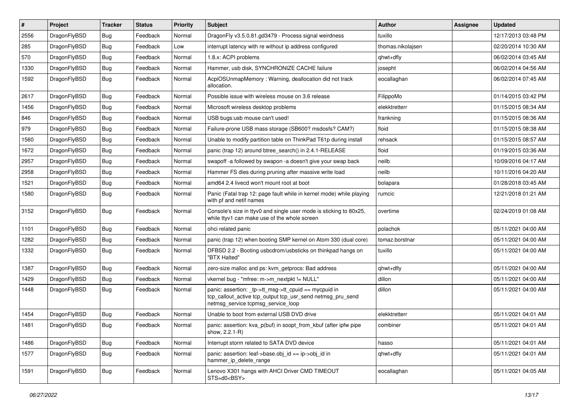| $\sharp$ | Project      | <b>Tracker</b> | <b>Status</b> | <b>Priority</b> | Subject                                                                                                                                                   | <b>Author</b>     | Assignee | <b>Updated</b>      |
|----------|--------------|----------------|---------------|-----------------|-----------------------------------------------------------------------------------------------------------------------------------------------------------|-------------------|----------|---------------------|
| 2556     | DragonFlyBSD | <b>Bug</b>     | Feedback      | Normal          | DragonFly v3.5.0.81.gd3479 - Process signal weirdness                                                                                                     | tuxillo           |          | 12/17/2013 03:48 PM |
| 285      | DragonFlyBSD | <b>Bug</b>     | Feedback      | Low             | interrupt latency with re without ip address configured                                                                                                   | thomas.nikolajsen |          | 02/20/2014 10:30 AM |
| 570      | DragonFlyBSD | <b>Bug</b>     | Feedback      | Normal          | 1.8.x: ACPI problems                                                                                                                                      | qhwt+dfly         |          | 06/02/2014 03:45 AM |
| 1330     | DragonFlyBSD | <b>Bug</b>     | Feedback      | Normal          | Hammer, usb disk, SYNCHRONIZE CACHE failure                                                                                                               | josepht           |          | 06/02/2014 04:56 AM |
| 1592     | DragonFlyBSD | Bug            | Feedback      | Normal          | AcpiOSUnmapMemory: Warning, deallocation did not track<br>allocation.                                                                                     | eocallaghan       |          | 06/02/2014 07:45 AM |
| 2617     | DragonFlyBSD | Bug            | Feedback      | Normal          | Possible issue with wireless mouse on 3.6 release                                                                                                         | FilippoMo         |          | 01/14/2015 03:42 PM |
| 1456     | DragonFlyBSD | Bug            | Feedback      | Normal          | Microsoft wireless desktop problems                                                                                                                       | elekktretterr     |          | 01/15/2015 08:34 AM |
| 846      | DragonFlyBSD | Bug            | Feedback      | Normal          | USB bugs:usb mouse can't used!                                                                                                                            | frankning         |          | 01/15/2015 08:36 AM |
| 979      | DragonFlyBSD | Bug            | Feedback      | Normal          | Failure-prone USB mass storage (SB600? msdosfs? CAM?)                                                                                                     | floid             |          | 01/15/2015 08:38 AM |
| 1560     | DragonFlyBSD | Bug            | Feedback      | Normal          | Unable to modify partition table on ThinkPad T61p during install                                                                                          | rehsack           |          | 01/15/2015 08:57 AM |
| 1672     | DragonFlyBSD | Bug            | Feedback      | Normal          | panic (trap 12) around btree_search() in 2.4.1-RELEASE                                                                                                    | floid             |          | 01/19/2015 03:36 AM |
| 2957     | DragonFlyBSD | Bug            | Feedback      | Normal          | swapoff -a followed by swapon -a doesn't give your swap back                                                                                              | neilb             |          | 10/09/2016 04:17 AM |
| 2958     | DragonFlyBSD | Bug            | Feedback      | Normal          | Hammer FS dies during pruning after massive write load                                                                                                    | neilb             |          | 10/11/2016 04:20 AM |
| 1521     | DragonFlyBSD | Bug            | Feedback      | Normal          | amd64 2.4 livecd won't mount root at boot                                                                                                                 | bolapara          |          | 01/28/2018 03:45 AM |
| 1580     | DragonFlyBSD | Bug            | Feedback      | Normal          | Panic (Fatal trap 12: page fault while in kernel mode) while playing<br>with pf and netif names                                                           | rumcic            |          | 12/21/2018 01:21 AM |
| 3152     | DragonFlyBSD | Bug            | Feedback      | Normal          | Console's size in ttyv0 and single user mode is sticking to 80x25,<br>while ttyv1 can make use of the whole screen                                        | overtime          |          | 02/24/2019 01:08 AM |
| 1101     | DragonFlyBSD | Bug            | Feedback      | Normal          | ohci related panic                                                                                                                                        | polachok          |          | 05/11/2021 04:00 AM |
| 1282     | DragonFlyBSD | Bug            | Feedback      | Normal          | panic (trap 12) when booting SMP kernel on Atom 330 (dual core)                                                                                           | tomaz.borstnar    |          | 05/11/2021 04:00 AM |
| 1332     | DragonFlyBSD | Bug            | Feedback      | Normal          | DFBSD 2.2 - Booting usbcdrom/usbsticks on thinkpad hangs on<br>"BTX Halted"                                                                               | tuxillo           |          | 05/11/2021 04:00 AM |
| 1387     | DragonFlyBSD | Bug            | Feedback      | Normal          | zero-size malloc and ps: kvm_getprocs: Bad address                                                                                                        | qhwt+dfly         |          | 05/11/2021 04:00 AM |
| 1429     | DragonFlyBSD | <b>Bug</b>     | Feedback      | Normal          | vkernel bug - "mfree: m->m_nextpkt != NULL"                                                                                                               | dillon            |          | 05/11/2021 04:00 AM |
| 1448     | DragonFlyBSD | Bug            | Feedback      | Normal          | panic: assertion: _tp->tt_msg->tt_cpuid == mycpuid in<br>tcp_callout_active tcp_output tcp_usr_send netmsg_pru_send<br>netmsg_service tcpmsg_service_loop | dillon            |          | 05/11/2021 04:00 AM |
| 1454     | DragonFlyBSD | Bug            | Feedback      | Normal          | Unable to boot from external USB DVD drive                                                                                                                | elekktretterr     |          | 05/11/2021 04:01 AM |
| 1481     | DragonFlyBSD | Bug            | Feedback      | Normal          | panic: assertion: kva_p(buf) in soopt_from_kbuf (after ipfw pipe<br>show, 2.2.1-R)                                                                        | combiner          |          | 05/11/2021 04:01 AM |
| 1486     | DragonFlyBSD | <b>Bug</b>     | Feedback      | Normal          | Interrupt storm related to SATA DVD device                                                                                                                | hasso             |          | 05/11/2021 04:01 AM |
| 1577     | DragonFlyBSD | Bug            | Feedback      | Normal          | panic: assertion: leaf->base.obj_id == ip->obj_id in<br>hammer_ip_delete_range                                                                            | qhwt+dfly         |          | 05/11/2021 04:01 AM |
| 1591     | DragonFlyBSD | <b>Bug</b>     | Feedback      | Normal          | Lenovo X301 hangs with AHCI Driver CMD TIMEOUT<br>$STS=d0<BSY>$                                                                                           | eocallaghan       |          | 05/11/2021 04:05 AM |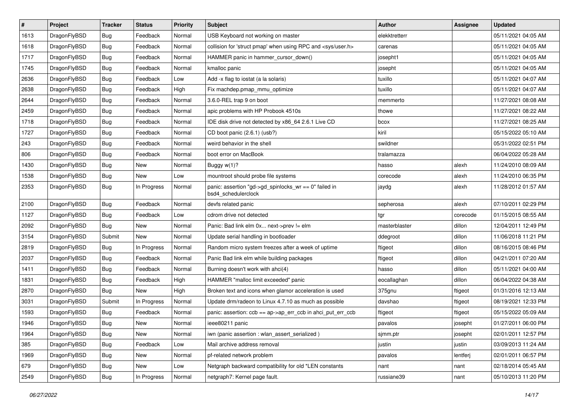| $\sharp$ | Project      | <b>Tracker</b> | <b>Status</b> | <b>Priority</b> | Subject                                                                      | <b>Author</b> | Assignee | <b>Updated</b>      |
|----------|--------------|----------------|---------------|-----------------|------------------------------------------------------------------------------|---------------|----------|---------------------|
| 1613     | DragonFlyBSD | Bug            | Feedback      | Normal          | USB Keyboard not working on master                                           | elekktretterr |          | 05/11/2021 04:05 AM |
| 1618     | DragonFlyBSD | Bug            | Feedback      | Normal          | collision for 'struct pmap' when using RPC and <sys user.h=""></sys>         | carenas       |          | 05/11/2021 04:05 AM |
| 1717     | DragonFlyBSD | <b>Bug</b>     | Feedback      | Normal          | HAMMER panic in hammer cursor down()                                         | josepht1      |          | 05/11/2021 04:05 AM |
| 1745     | DragonFlyBSD | <b>Bug</b>     | Feedback      | Normal          | kmalloc panic                                                                | josepht       |          | 05/11/2021 04:05 AM |
| 2636     | DragonFlyBSD | Bug            | Feedback      | Low             | Add -x flag to iostat (a la solaris)                                         | tuxillo       |          | 05/11/2021 04:07 AM |
| 2638     | DragonFlyBSD | <b>Bug</b>     | Feedback      | High            | Fix machdep.pmap_mmu_optimize                                                | tuxillo       |          | 05/11/2021 04:07 AM |
| 2644     | DragonFlyBSD | Bug            | Feedback      | Normal          | 3.6.0-REL trap 9 on boot                                                     | memmerto      |          | 11/27/2021 08:08 AM |
| 2459     | DragonFlyBSD | <b>Bug</b>     | Feedback      | Normal          | apic problems with HP Probook 4510s                                          | thowe         |          | 11/27/2021 08:22 AM |
| 1718     | DragonFlyBSD | <b>Bug</b>     | Feedback      | Normal          | IDE disk drive not detected by x86 64 2.6.1 Live CD                          | bcox          |          | 11/27/2021 08:25 AM |
| 1727     | DragonFlyBSD | Bug            | Feedback      | Normal          | CD boot panic (2.6.1) (usb?)                                                 | kiril         |          | 05/15/2022 05:10 AM |
| 243      | DragonFlyBSD | <b>Bug</b>     | Feedback      | Normal          | weird behavior in the shell                                                  | swildner      |          | 05/31/2022 02:51 PM |
| 806      | DragonFlyBSD | Bug            | Feedback      | Normal          | boot error on MacBook                                                        | tralamazza    |          | 06/04/2022 05:28 AM |
| 1430     | DragonFlyBSD | <b>Bug</b>     | <b>New</b>    | Normal          | Buggy w(1)?                                                                  | hasso         | alexh    | 11/24/2010 08:09 AM |
| 1538     | DragonFlyBSD | <b>Bug</b>     | New           | Low             | mountroot should probe file systems                                          | corecode      | alexh    | 11/24/2010 06:35 PM |
| 2353     | DragonFlyBSD | <b>Bug</b>     | In Progress   | Normal          | panic: assertion "gd->gd_spinlocks_wr == 0" failed in<br>bsd4_schedulerclock | jaydg         | alexh    | 11/28/2012 01:57 AM |
| 2100     | DragonFlyBSD | <b>Bug</b>     | Feedback      | Normal          | devfs related panic                                                          | sepherosa     | alexh    | 07/10/2011 02:29 PM |
| 1127     | DragonFlyBSD | Bug            | Feedback      | Low             | cdrom drive not detected                                                     | tgr           | corecode | 01/15/2015 08:55 AM |
| 2092     | DragonFlyBSD | Bug            | New           | Normal          | Panic: Bad link elm 0x next->prev != elm                                     | masterblaster | dillon   | 12/04/2011 12:49 PM |
| 3154     | DragonFlyBSD | Submit         | New           | Normal          | Update serial handling in bootloader                                         | ddegroot      | dillon   | 11/06/2018 11:21 PM |
| 2819     | DragonFlyBSD | <b>Bug</b>     | In Progress   | Normal          | Random micro system freezes after a week of uptime                           | ftigeot       | dillon   | 08/16/2015 08:46 PM |
| 2037     | DragonFlyBSD | <b>Bug</b>     | Feedback      | Normal          | Panic Bad link elm while building packages                                   | ftigeot       | dillon   | 04/21/2011 07:20 AM |
| 1411     | DragonFlyBSD | Bug            | Feedback      | Normal          | Burning doesn't work with ahci(4)                                            | hasso         | dillon   | 05/11/2021 04:00 AM |
| 1831     | DragonFlyBSD | <b>Bug</b>     | Feedback      | High            | HAMMER "malloc limit exceeded" panic                                         | eocallaghan   | dillon   | 06/04/2022 04:38 AM |
| 2870     | DragonFlyBSD | <b>Bug</b>     | New           | High            | Broken text and icons when glamor acceleration is used                       | 375gnu        | ftigeot  | 01/31/2016 12:13 AM |
| 3031     | DragonFlyBSD | Submit         | In Progress   | Normal          | Update drm/radeon to Linux 4.7.10 as much as possible                        | davshao       | ftigeot  | 08/19/2021 12:33 PM |
| 1593     | DragonFlyBSD | <b>Bug</b>     | Feedback      | Normal          | panic: assertion: ccb == ap->ap_err_ccb in ahci_put_err_ccb                  | ftigeot       | ftigeot  | 05/15/2022 05:09 AM |
| 1946     | DragonFlyBSD | <b>Bug</b>     | <b>New</b>    | Normal          | ieee80211 panic                                                              | pavalos       | josepht  | 01/27/2011 06:00 PM |
| 1964     | DragonFlyBSD | <b>Bug</b>     | New           | Normal          | iwn (panic assertion : wlan assert serialized)                               | sjmm.ptr      | josepht  | 02/01/2011 12:57 PM |
| 385      | DragonFlyBSD | <b>Bug</b>     | Feedback      | Low             | Mail archive address removal                                                 | justin        | justin   | 03/09/2013 11:24 AM |
| 1969     | DragonFlyBSD | <b>Bug</b>     | <b>New</b>    | Normal          | pf-related network problem                                                   | pavalos       | lentferj | 02/01/2011 06:57 PM |
| 679      | DragonFlyBSD | <b>Bug</b>     | New           | Low             | Netgraph backward compatibility for old *LEN constants                       | nant          | nant     | 02/18/2014 05:45 AM |
| 2549     | DragonFlyBSD | <b>Bug</b>     | In Progress   | Normal          | netgraph7: Kernel page fault.                                                | russiane39    | nant     | 05/10/2013 11:20 PM |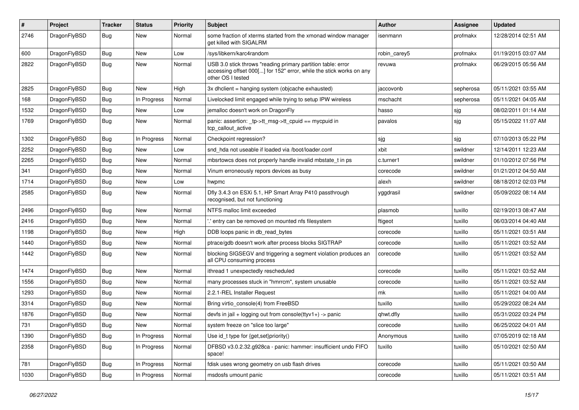| #    | Project      | <b>Tracker</b> | <b>Status</b> | <b>Priority</b> | Subject                                                                                                                                                  | <b>Author</b> | <b>Assignee</b> | <b>Updated</b>      |
|------|--------------|----------------|---------------|-----------------|----------------------------------------------------------------------------------------------------------------------------------------------------------|---------------|-----------------|---------------------|
| 2746 | DragonFlyBSD | <b>Bug</b>     | New           | Normal          | some fraction of xterms started from the xmonad window manager<br>get killed with SIGALRM                                                                | isenmann      | profmakx        | 12/28/2014 02:51 AM |
| 600  | DragonFlyBSD | <b>Bug</b>     | New           | Low             | /sys/libkern/karc4random                                                                                                                                 | robin_carey5  | profmakx        | 01/19/2015 03:07 AM |
| 2822 | DragonFlyBSD | <b>Bug</b>     | New           | Normal          | USB 3.0 stick throws "reading primary partition table: error<br>accessing offset 000[] for 152" error, while the stick works on any<br>other OS I tested | revuwa        | profmakx        | 06/29/2015 05:56 AM |
| 2825 | DragonFlyBSD | <b>Bug</b>     | New           | High            | 3x dhclient = hanging system (objcache exhausted)                                                                                                        | jaccovonb     | sepherosa       | 05/11/2021 03:55 AM |
| 168  | DragonFlyBSD | <b>Bug</b>     | In Progress   | Normal          | Livelocked limit engaged while trying to setup IPW wireless                                                                                              | mschacht      | sepherosa       | 05/11/2021 04:05 AM |
| 1532 | DragonFlyBSD | Bug            | <b>New</b>    | Low             | jemalloc doesn't work on DragonFly                                                                                                                       | hasso         | sjg             | 08/02/2011 01:14 AM |
| 1769 | DragonFlyBSD | <b>Bug</b>     | New           | Normal          | panic: assertion: _tp->tt_msg->tt_cpuid == mycpuid in<br>tcp callout active                                                                              | pavalos       | sjg             | 05/15/2022 11:07 AM |
| 1302 | DragonFlyBSD | Bug            | In Progress   | Normal          | Checkpoint regression?                                                                                                                                   | sjg           | sjg             | 07/10/2013 05:22 PM |
| 2252 | DragonFlyBSD | Bug            | New           | Low             | snd_hda not useable if loaded via /boot/loader.conf                                                                                                      | xbit          | swildner        | 12/14/2011 12:23 AM |
| 2265 | DragonFlyBSD | Bug            | New           | Normal          | mbsrtowcs does not properly handle invalid mbstate t in ps                                                                                               | c.turner1     | swildner        | 01/10/2012 07:56 PM |
| 341  | DragonFlyBSD | Bug            | New           | Normal          | Vinum erroneously repors devices as busy                                                                                                                 | corecode      | swildner        | 01/21/2012 04:50 AM |
| 1714 | DragonFlyBSD | Bug            | New           | Low             | hwpmc                                                                                                                                                    | alexh         | swildner        | 08/18/2012 02:03 PM |
| 2585 | DragonFlyBSD | Bug            | New           | Normal          | Dfly 3.4.3 on ESXi 5.1, HP Smart Array P410 passthrough<br>recognised, but not functioning                                                               | yggdrasil     | swildner        | 05/09/2022 08:14 AM |
| 2496 | DragonFlyBSD | Bug            | <b>New</b>    | Normal          | NTFS malloc limit exceeded                                                                                                                               | plasmob       | tuxillo         | 02/19/2013 08:47 AM |
| 2416 | DragonFlyBSD | Bug            | <b>New</b>    | Normal          | ".' entry can be removed on mounted nfs filesystem                                                                                                       | ftigeot       | tuxillo         | 06/03/2014 04:40 AM |
| 1198 | DragonFlyBSD | Bug            | New           | High            | DDB loops panic in db_read_bytes                                                                                                                         | corecode      | tuxillo         | 05/11/2021 03:51 AM |
| 1440 | DragonFlyBSD | Bug            | New           | Normal          | ptrace/gdb doesn't work after process blocks SIGTRAP                                                                                                     | corecode      | tuxillo         | 05/11/2021 03:52 AM |
| 1442 | DragonFlyBSD | Bug            | New           | Normal          | blocking SIGSEGV and triggering a segment violation produces an<br>all CPU consuming process                                                             | corecode      | tuxillo         | 05/11/2021 03:52 AM |
| 1474 | DragonFlyBSD | Bug            | New           | Normal          | ithread 1 unexpectedly rescheduled                                                                                                                       | corecode      | tuxillo         | 05/11/2021 03:52 AM |
| 1556 | DragonFlyBSD | Bug            | New           | Normal          | many processes stuck in "hmrrcm", system unusable                                                                                                        | corecode      | tuxillo         | 05/11/2021 03:52 AM |
| 1293 | DragonFlyBSD | <b>Bug</b>     | New           | Normal          | 2.2.1-REL Installer Request                                                                                                                              | mk            | tuxillo         | 05/11/2021 04:00 AM |
| 3314 | DragonFlyBSD | Bug            | <b>New</b>    | Normal          | Bring virtio console(4) from FreeBSD                                                                                                                     | tuxillo       | tuxillo         | 05/29/2022 08:24 AM |
| 1876 | DragonFlyBSD | Bug            | New           | Normal          | devfs in jail + logging out from console(ttyv1+) -> panic                                                                                                | qhwt.dfly     | tuxillo         | 05/31/2022 03:24 PM |
| 731  | DragonFlyBSD | Bug            | <b>New</b>    | Normal          | system freeze on "slice too large"                                                                                                                       | corecode      | tuxillo         | 06/25/2022 04:01 AM |
| 1390 | DragonFlyBSD | <b>Bug</b>     | In Progress   | Normal          | Use id_t type for {get,set}priority()                                                                                                                    | Anonymous     | tuxillo         | 07/05/2019 02:18 AM |
| 2358 | DragonFlyBSD | <b>Bug</b>     | In Progress   | Normal          | DFBSD v3.0.2.32.g928ca - panic: hammer: insufficient undo FIFO<br>space!                                                                                 | tuxillo       | tuxillo         | 05/10/2021 02:50 AM |
| 781  | DragonFlyBSD | <b>Bug</b>     | In Progress   | Normal          | fdisk uses wrong geometry on usb flash drives                                                                                                            | corecode      | tuxillo         | 05/11/2021 03:50 AM |
| 1030 | DragonFlyBSD | <b>Bug</b>     | In Progress   | Normal          | msdosfs umount panic                                                                                                                                     | corecode      | tuxillo         | 05/11/2021 03:51 AM |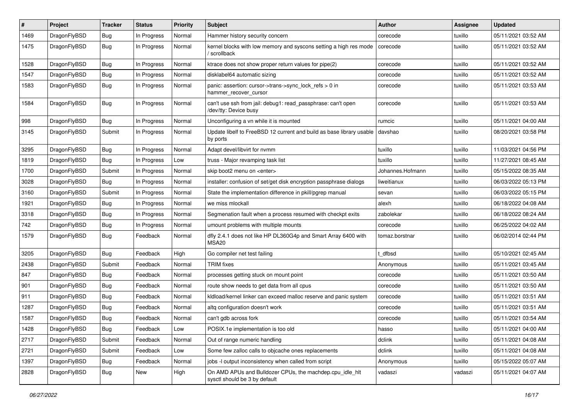| $\pmb{\#}$ | Project      | <b>Tracker</b> | <b>Status</b> | <b>Priority</b> | Subject                                                                                   | <b>Author</b>    | Assignee | <b>Updated</b>      |
|------------|--------------|----------------|---------------|-----------------|-------------------------------------------------------------------------------------------|------------------|----------|---------------------|
| 1469       | DragonFlyBSD | <b>Bug</b>     | In Progress   | Normal          | Hammer history security concern                                                           | corecode         | tuxillo  | 05/11/2021 03:52 AM |
| 1475       | DragonFlyBSD | Bug            | In Progress   | Normal          | kernel blocks with low memory and syscons setting a high res mode<br>/ scrollback         | corecode         | tuxillo  | 05/11/2021 03:52 AM |
| 1528       | DragonFlyBSD | <b>Bug</b>     | In Progress   | Normal          | ktrace does not show proper return values for pipe(2)                                     | corecode         | tuxillo  | 05/11/2021 03:52 AM |
| 1547       | DragonFlyBSD | Bug            | In Progress   | Normal          | disklabel64 automatic sizing                                                              | corecode         | tuxillo  | 05/11/2021 03:52 AM |
| 1583       | DragonFlyBSD | Bug            | In Progress   | Normal          | panic: assertion: cursor->trans->sync_lock_refs > 0 in<br>hammer_recover_cursor           | corecode         | tuxillo  | 05/11/2021 03:53 AM |
| 1584       | DragonFlyBSD | Bug            | In Progress   | Normal          | can't use ssh from jail: debug1: read_passphrase: can't open<br>/dev/tty: Device busy     | corecode         | tuxillo  | 05/11/2021 03:53 AM |
| 998        | DragonFlyBSD | Bug            | In Progress   | Normal          | Unconfiguring a vn while it is mounted                                                    | rumcic           | tuxillo  | 05/11/2021 04:00 AM |
| 3145       | DragonFlyBSD | Submit         | In Progress   | Normal          | Update libelf to FreeBSD 12 current and build as base library usable<br>by ports          | davshao          | tuxillo  | 08/20/2021 03:58 PM |
| 3295       | DragonFlyBSD | Bug            | In Progress   | Normal          | Adapt devel/libvirt for nvmm                                                              | tuxillo          | tuxillo  | 11/03/2021 04:56 PM |
| 1819       | DragonFlyBSD | Bug            | In Progress   | Low             | truss - Major revamping task list                                                         | tuxillo          | tuxillo  | 11/27/2021 08:45 AM |
| 1700       | DragonFlyBSD | Submit         | In Progress   | Normal          | skip boot2 menu on <enter></enter>                                                        | Johannes.Hofmann | tuxillo  | 05/15/2022 08:35 AM |
| 3028       | DragonFlyBSD | Bug            | In Progress   | Normal          | installer: confusion of set/get disk encryption passphrase dialogs                        | liweitianux      | tuxillo  | 06/03/2022 05:13 PM |
| 3160       | DragonFlyBSD | Submit         | In Progress   | Normal          | State the implementation difference in pkill/pgrep manual                                 | sevan            | tuxillo  | 06/03/2022 05:15 PM |
| 1921       | DragonFlyBSD | Bug            | In Progress   | Normal          | we miss mlockall                                                                          | alexh            | tuxillo  | 06/18/2022 04:08 AM |
| 3318       | DragonFlyBSD | Bug            | In Progress   | Normal          | Segmenation fault when a process resumed with checkpt exits                               | zabolekar        | tuxillo  | 06/18/2022 08:24 AM |
| 742        | DragonFlyBSD | Bug            | In Progress   | Normal          | umount problems with multiple mounts                                                      | corecode         | tuxillo  | 06/25/2022 04:02 AM |
| 1579       | DragonFlyBSD | Bug            | Feedback      | Normal          | dfly 2.4.1 does not like HP DL360G4p and Smart Array 6400 with<br>MSA20                   | tomaz.borstnar   | tuxillo  | 06/02/2014 02:44 PM |
| 3205       | DragonFlyBSD | Bug            | Feedback      | High            | Go compiler net test failing                                                              | t dfbsd          | tuxillo  | 05/10/2021 02:45 AM |
| 2438       | DragonFlyBSD | Submit         | Feedback      | Normal          | <b>TRIM</b> fixes                                                                         | Anonymous        | tuxillo  | 05/11/2021 03:45 AM |
| 847        | DragonFlyBSD | Bug            | Feedback      | Normal          | processes getting stuck on mount point                                                    | corecode         | tuxillo  | 05/11/2021 03:50 AM |
| 901        | DragonFlyBSD | Bug            | Feedback      | Normal          | route show needs to get data from all cpus                                                | corecode         | tuxillo  | 05/11/2021 03:50 AM |
| 911        | DragonFlyBSD | Bug            | Feedback      | Normal          | kldload/kernel linker can exceed malloc reserve and panic system                          | corecode         | tuxillo  | 05/11/2021 03:51 AM |
| 1287       | DragonFlyBSD | Bug            | Feedback      | Normal          | altg configuration doesn't work                                                           | corecode         | tuxillo  | 05/11/2021 03:51 AM |
| 1587       | DragonFlyBSD | Bug            | Feedback      | Normal          | can't gdb across fork                                                                     | corecode         | tuxillo  | 05/11/2021 03:54 AM |
| 1428       | DragonFlyBSD | Bug            | Feedback      | Low             | POSIX.1e implementation is too old                                                        | hasso            | tuxillo  | 05/11/2021 04:00 AM |
| 2717       | DragonFlyBSD | Submit         | Feedback      | Normal          | Out of range numeric handling                                                             | dclink           | tuxillo  | 05/11/2021 04:08 AM |
| 2721       | DragonFlyBSD | Submit         | Feedback      | Low             | Some few zalloc calls to objcache ones replacements                                       | dclink           | tuxillo  | 05/11/2021 04:08 AM |
| 1397       | DragonFlyBSD | <b>Bug</b>     | Feedback      | Normal          | jobs -I output inconsistency when called from script                                      | Anonymous        | tuxillo  | 05/15/2022 05:07 AM |
| 2828       | DragonFlyBSD | <b>Bug</b>     | New           | High            | On AMD APUs and Bulldozer CPUs, the machdep.cpu_idle_hlt<br>sysctl should be 3 by default | vadaszi          | vadaszi  | 05/11/2021 04:07 AM |